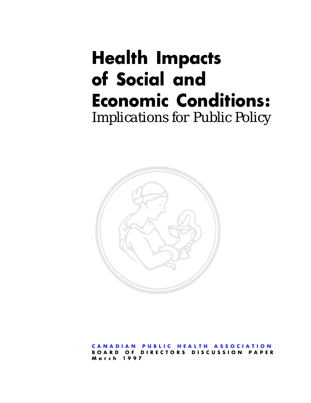# **Health Impacts of Social and Economic Conditions:** *Implications for Public Policy*



**[CANADIAN PUBLIC HEALTH ASSOCIATION](http://www.cpha.ca) BOARD OF DIRECTORS DISCUSSION PAPER March 1997**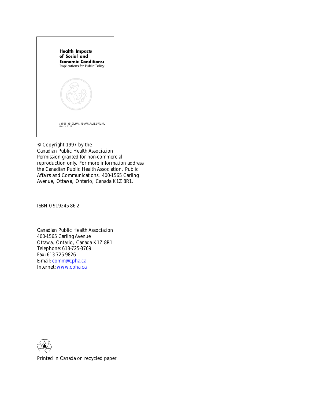

© Copyright 1997 by the Canadian Public Health Association Permission granted for non-commercial reproduction only. For more information address the Canadian Public Health Association, Public Affairs and Communications, 400-1565 Carling Avenue, Ottawa, Ontario, Canada K1Z 8R1.

ISBN 0-919245-86-2

Canadian Public Health Association 400-1565 Carling Avenue Ottawa, Ontario, Canada K1Z 8R1 Telephone: 613-725-3769 Fax: 613-725-9826 E-mail: [comm@cpha.ca](mailto:comm@cpha.ca) Internet: [www.cpha.ca](http://www.cpha.ca)



Printed in Canada on recycled paper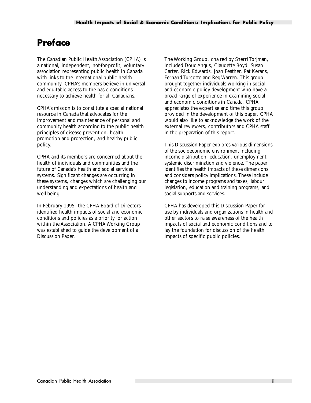# **Preface**

The Canadian Public Health Association (CPHA) is a national, independent, not-for-profit, voluntary association representing public health in Canada with links to the international public health community. CPHA's members believe in universal and equitable access to the basic conditions necessary to achieve health for all Canadians.

CPHA's mission is to constitute a special national resource in Canada that advocates for the improvement and maintenance of personal and community health according to the public health principles of disease prevention, health promotion and protection, and healthy public policy.

CPHA and its members are concerned about the health of individuals and communities and the future of Canada's health and social services systems. Significant changes are occurring in these systems, changes which are challenging our understanding and expectations of health and well-being.

In February 1995, the CPHA Board of Directors identified health impacts of social and economic conditions and policies as a priority for action within the Association. A CPHA Working Group was established to guide the development of a Discussion Paper.

The Working Group, chaired by Sherri Torjman, included Doug Angus, Claudette Boyd, Susan Carter, Rick Edwards, Joan Feather, Pat Kerans, Fernand Turcotte and Reg Warren. This group brought together individuals working in social and economic policy development who have a broad range of experience in examining social and economic conditions in Canada. CPHA appreciates the expertise and time this group provided in the development of this paper. CPHA would also like to acknowledge the work of the external reviewers, contributors and CPHA staff in the preparation of this report.

This Discussion Paper explores various dimensions of the socioeconomic environment including income distribution, education, unemployment, systemic discrimination and violence. The paper identifies the health impacts of these dimensions and considers policy implications. These include changes to income programs and taxes, labour legislation, education and training programs, and social supports and services.

CPHA has developed this Discussion Paper for use by individuals and organizations in health and other sectors to raise awareness of the health impacts of social and economic conditions and to lay the foundation for discussion of the health impacts of specific public policies.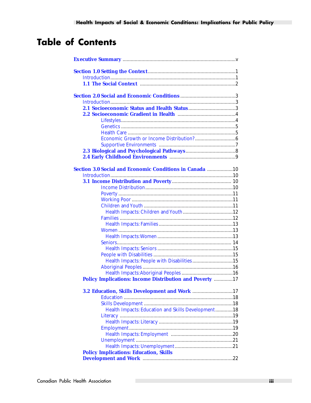# **Table of Contents**

| <b>Section 3.0 Social and Economic Conditions in Canada 10</b>  |
|-----------------------------------------------------------------|
|                                                                 |
|                                                                 |
|                                                                 |
|                                                                 |
|                                                                 |
|                                                                 |
|                                                                 |
|                                                                 |
|                                                                 |
|                                                                 |
|                                                                 |
|                                                                 |
|                                                                 |
|                                                                 |
| Health Impacts: People with Disabilities15                      |
|                                                                 |
|                                                                 |
| <b>Policy Implications: Income Distribution and Poverty  17</b> |
| 3.2 Education, Skills Development and Work 17                   |
|                                                                 |
|                                                                 |
| Health Impacts: Education and Skills Development18              |
|                                                                 |
|                                                                 |
|                                                                 |
|                                                                 |
|                                                                 |
|                                                                 |
| <b>Policy Implications: Education, Skills</b>                   |
|                                                                 |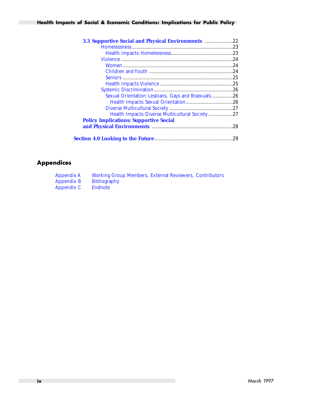#### **Health Impacts of Social & Economic Conditions: Implications for Public Policy**

| 3.3 Supportive Social and Physical Environments 22 |     |
|----------------------------------------------------|-----|
|                                                    |     |
|                                                    |     |
|                                                    |     |
|                                                    |     |
|                                                    |     |
|                                                    |     |
|                                                    |     |
|                                                    |     |
| Sexual Orientation: Lesbians, Gays and Bisexuals26 |     |
|                                                    |     |
|                                                    |     |
| Health Impacts: Diverse Multicultural Society 27   |     |
| <b>Policy Implications: Supportive Social</b>      |     |
|                                                    |     |
|                                                    | .29 |

### **Appendices**

| <b>Appendix A</b> | <b>Working Group Members, External Reviewers, Contributors</b> |  |
|-------------------|----------------------------------------------------------------|--|
| <b>Appendix B</b> | <b>Bibliography</b>                                            |  |
| <b>Appendix C</b> | <b>Endnote</b>                                                 |  |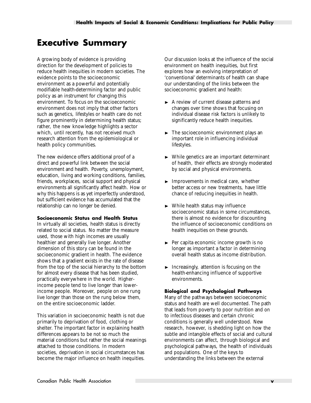# <span id="page-5-0"></span>**Executive Summary**

A growing body of evidence is providing direction for the development of policies to reduce health inequities in modern societies. The evidence points to the socioeconomic environment as a powerful and potentially modifiable health-determining factor and public policy as an instrument for changing this environment. To focus on the socioeconomic environment does not imply that other factors such as genetics, lifestyles or health care do not figure prominently in determining health status; rather, the new knowledge highlights a sector which, until recently, has not received much research attention from the epidemiological or health policy communities.

The new evidence offers additional proof of a direct and powerful link between the social environment and health. Poverty, unemployment, education, living and working conditions, families, friends, workplaces, social support and physical environments all significantly affect health. How or why this happens is as yet imperfectly understood, but sufficient evidence has accumulated that the relationship can no longer be denied.

#### **Socioeconomic Status and Health Status**

In virtually all societies, health status is directly related to social status. No matter the measure used, those with high incomes are usually healthier and generally live longer. Another dimension of this story can be found in the socioeconomic gradient in health. The evidence shows that a gradient exists in the rate of disease from the top of the social hierarchy to the bottom for almost every disease that has been studied, practically everywhere in the world. Higherincome people tend to live longer than lowerincome people. Moreover, people on one rung live longer than those on the rung below them, on the entire socioeconomic ladder.

This variation in socioeconomic health is not due primarily to deprivation of food, clothing or shelter. The important factor in explaining health differences appears to be not so much the material conditions but rather the social meanings attached to those conditions. In modern societies, deprivation in social circumstances has become the major influence on health inequities.

Our discussion looks at the influence of the social environment on health inequities, but first explores how an evolving interpretation of 'conventional' determinants of health can shape our understanding of the links between the socioeconomic gradient and health:

- $\blacktriangleright$  A review of current disease patterns and changes over time shows that focusing on individual disease risk factors is unlikely to significantly reduce health inequities.
- $\blacktriangleright$  The socioeconomic environment plays an important role in influencing individual lifestyles.
- $\triangleright$  While genetics are an important determinant of health, their effects are strongly moderated by social and physical environments.
- $\blacktriangleright$  Improvements in medical care, whether better access or new treatments, have little chance of reducing inequities in health.
- $\blacktriangleright$  While health status may influence socioeconomic status in some circumstances, there is almost no evidence for discounting the influence of socioeconomic conditions on health inequities on these grounds.
- $\blacktriangleright$  Per capita economic income growth is no longer as important a factor in determining overall health status as income distribution.
- $\blacktriangleright$  Increasingly, attention is focusing on the health-enhancing influence of supportive environments.

#### **Biological and Psychological Pathways**

Many of the pathways between socioeconomic status and health are well documented. The path that leads from poverty to poor nutrition and on to infectious diseases and certain chronic conditions is generally well understood. New research, however, is shedding light on how the subtle and intangible effects of social and cultural environments can affect, through biological and psychological pathways, the health of individuals and populations. One of the keys to understanding the links between the external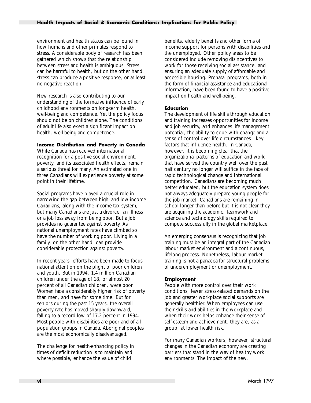environment and health status can be found in how humans and other primates respond to stress. A considerable body of research has been gathered which shows that the relationship between stress and health is ambiguous. Stress can be harmful to health, but on the other hand, stress can produce a positive response, or at least no negative reaction.

New research is also contributing to our understanding of the formative influence of early childhood environments on long-term health, well-being and competence. Yet the policy focus should not be on children alone. The conditions of adult life also exert a significant impact on health, well-being and competence.

#### **Income Distribution and Poverty in Canada**

While Canada has received international recognition for a positive social environment, poverty, and its associated health effects, remain a serious threat for many. An estimated one in three Canadians will experience poverty at some point in their lifetime.

Social programs have played a crucial role in narrowing the gap between high- and low-income Canadians, along with the income tax system, but many Canadians are just a divorce, an illness or a job loss away from being poor. But a job provides no guarantee against poverty. As national unemployment rates have climbed so have the number of working poor. Living in a family, on the other hand, can provide considerable protection against poverty.

In recent years, efforts have been made to focus national attention on the plight of poor children and youth. But in 1994, 1.4 million Canadian children under the age of 18, or almost 20 percent of all Canadian children, were poor. Women face a considerably higher risk of poverty than men, and have for some time. But for seniors during the past 15 years, the overall poverty rate has moved sharply downward, falling to a record low of 17.2 percent in 1994. Most people with disabilities are poor and of all population groups in Canada, Aboriginal peoples are the most economically disadvantaged.

The challenge for health-enhancing policy in times of deficit reduction is to maintain and, where possible, enhance the value of child

benefits, elderly benefits and other forms of income support for persons with disabilities and the unemployed. Other policy areas to be considered include removing disincentives to work for those receiving social assistance, and ensuring an adequate supply of affordable and accessible housing. Prenatal programs, both in the form of financial assistance and educational information, have been found to have a positive impact on health and well-being.

#### **Education**

The development of life skills through education and training increases opportunities for income and job security, and enhances life management potential, the ability to cope with change and a sense of control over life circumstances—key factors that influence health. In Canada, however, it is becoming clear that the organizational patterns of education and work that have served the country well over the past half century no longer will suffice in the face of rapid technological change and international competition. Canadians are becoming much better educated, but the education system does not always adequately prepare young people for the job market. Canadians are remaining in school longer than before but it is not clear they are acquiring the academic, teamwork and science and technology skills required to compete successfully in the global marketplace.

An emerging consensus is recognizing that job training must be an integral part of the Canadian labour market environment and a continuous, lifelong process. Nonetheless, labour market training is not a panacea for structural problems of underemployment or unemployment.

#### **Employment**

People with more control over their work conditions, fewer stress-related demands on the job and greater workplace social supports are generally healthier. When employees can use their skills and abilities in the workplace and when their work helps enhance their sense of self-esteem and achievement, they are, as a group, at lower health risk.

For many Canadian workers, however, structural changes in the Canadian economy are creating barriers that stand in the way of healthy work environments. The impact of the new,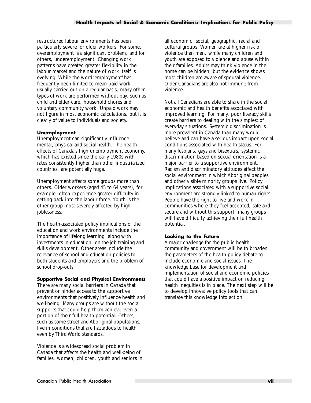restructured labour environments has been particularly severe for older workers. For some, overemployment is a significant problem, and for others, underemployment. Changing work patterns have created greater flexibility in the labour market and the nature of work itself is evolving. While the word 'employment' has frequently been limited to mean paid work, usually carried out on a regular basis, many other types of work are performed without pay, such as child and elder care, household chores and voluntary community work. Unpaid work may not figure in most economic calculations, but it is clearly of value to individuals and society.

#### **Unemployment**

Unemployment can significantly influence mental, physical and social health. The health effects of Canada's high unemployment economy, which has existed since the early 1980s with rates consistently higher than other industrialized countries, are potentially huge.

Unemployment affects some groups more than others. Older workers (aged 45 to 64 years), for example, often experience greater difficulty in getting back into the labour force. Youth is the other group most severely affected by high joblessness.

The health-associated policy implications of the education and work environments include the importance of lifelong learning, along with investments in education, on-the-job training and skills development. Other areas include the relevance of school and education policies to both students and employers and the problem of school drop-outs.

#### **Supportive Social and Physical Environments**

There are many social barriers in Canada that prevent or hinder access to the supportive environments that positively influence health and well-being. Many groups are without the social supports that could help them achieve even a portion of their full health potential. Others, such as some street and Aboriginal populations, live in conditions that are hazardous to health even by Third World standards.

Violence is a widespread social problem in Canada that affects the health and well-being of families, women, children, youth and seniors in all economic, social, geographic, racial and cultural groups. Women are at higher risk of violence than men, while many children and youth are exposed to violence and abuse within their families. Adults may think violence in the home can be hidden, but the evidence shows most children are aware of spousal violence. Older Canadians are also not immune from violence.

Not all Canadians are able to share in the social, economic and health benefits associated with improved learning. For many, poor literacy skills create barriers to dealing with the simplest of everyday situations. Systemic discrimination is more prevalent in Canada than many would believe and can have a serious impact upon social conditions associated with health status. For many lesbians, gays and bisexuals, systemic discrimination based on sexual orientation is a major barrier to a supportive environment. Racism and discriminatory attitudes affect the social environment in which Aboriginal peoples and other visible minority groups live. Policy implications associated with a supportive social environment are strongly linked to human rights. People have the right to live and work in communities where they feel accepted, safe and secure and without this support, many groups will have difficulty achieving their full health potential.

#### **Looking to the Future**

A major challenge for the public health community and government will be to broaden the parameters of the health policy debate to include economic and social issues. The knowledge base for development and implementation of social and economic policies that could have a positive impact on reducing health inequities is in place. The next step will be to develop innovative policy tools that can translate this knowledge into action.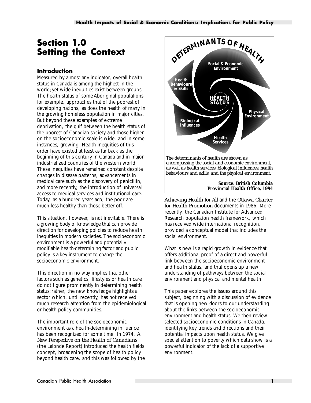# <span id="page-8-0"></span>**Section 1.0 Setting the Context**

#### **Introduction**

Measured by almost any indicator, overall health status in Canada is among the highest in the world; yet wide inequities exist between groups. The health status of some Aboriginal populations, for example, approaches that of the poorest of developing nations, as does the health of many in the growing homeless population in major cities. But beyond these examples of extreme deprivation, the gulf between the health status of the poorest of Canadian society and those higher on the socioeconomic scale is wide, and in some instances, growing. Health inequities of this order have existed at least as far back as the beginning of this century in Canada and in major industrialized countries of the western world. These inequities have remained constant despite changes in disease patterns, advancements in medical care such as the discovery of penicillin, and more recently, the introduction of universal access to medical services and institutional care. Today, as a hundred years ago, the poor are much less healthy than those better off.

This situation, however, is not inevitable. There is a growing body of knowledge that can provide direction for developing policies to reduce health inequities in modern societies. The socioeconomic environment is a powerful and potentially modifiable health-determining factor and public policy is a key instrument to change the socioeconomic environment.

This direction in no way implies that other factors such as genetics, lifestyles or health care do not figure prominently in determining health status; rather, the new knowledge highlights a sector which, until recently, has not received much research attention from the epidemiological or health policy communities.

The important role of the socioeconomic environment as a health-determining influence has been recognized for some time. In 1974, *A New Perspective on the Health of Canadians* (the Lalonde Report) introduced the health fields concept, broadening the scope of health policy beyond health care, and this was followed by the



**Source: British Columbia Provincial Health Office, 1994**

*Achieving Health for All* and the *Ottawa Charter for Health Promotion* documents in 1986. More recently, the Canadian Institute for Advanced Research population health framework, which has received wide international recognition, provided a conceptual model that includes the social environment.

What is new is a rapid growth in evidence that offers additional proof of a direct and powerful link between the socioeconomic environment and health status, and that opens up a new understanding of pathways between the social environment and physical and mental health.

This paper explores the issues around this subject, beginning with a discussion of evidence that is opening new doors to our understanding about the links between the socioeconomic environment and health status. We then review selected socioeconomic conditions in Canada, identifying key trends and directions and their potential impacts upon health status. We give special attention to poverty which data show is a powerful indicator of the lack of a supportive environment.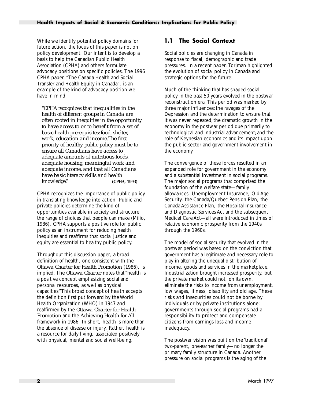<span id="page-9-0"></span>While we identify potential policy domains for future action, the focus of this paper is not on policy development. Our intent is to develop a basis to help the Canadian Public Health Association (CPHA) and others formulate advocacy positions on specific policies. The 1996 CPHA paper, "The Canada Health and Social Transfer and Health Equity in Canada", is an example of the kind of advocacy position we have in mind.

*"CPHA recognizes that inequalities in the health of different groups in Canada are often rooted in inequities in the opportunity to have access to or to benefit from a set of basic health prerequisites: food, shelter, work, education and income.The first priority of healthy public policy must be to ensure all Canadians have access to adequate amounts of nutritious foods, adequate housing, meaningful work and adequate income, and that all Canadians have basic literacy skills and health knowledge."* **(CPHA, 1993)**

CPHA recognizes the importance of public policy in translating knowledge into action. Public and private policies determine the kind of opportunities available in society and structure the range of choices that people can make (Milio, 1986). CPHA supports a positive role for public policy as an instrument for reducing health inequities and reaffirms that social justice and equity are essential to healthy public policy.

Throughout this discussion paper, a broad definition of health, one consistent with the *Ottawa Charter for Health Promotion* (1986), is implied. The *Ottawa Charter* notes that "health is a positive concept emphasizing social and personal resources, as well as physical capacities."This broad concept of health accepts the definition first put forward by the World Health Organization (WHO) in 1947 and reaffirmed by the *Ottawa Charter for Health Promotion* and the *Achieving Health for All* framework in 1986. In short, health is more than the absence of disease or injury. Rather, health is a resource for daily living, associated positively with physical, mental and social well-being.

#### **1.1 The Social Context**

Social policies are changing in Canada in response to fiscal, demographic and trade pressures. In a recent paper, Torjman highlighted the evolution of social policy in Canada and strategic options for the future:

Much of the thinking that has shaped social policy in the past 50 years evolved in the postwar reconstruction era. This period was marked by three major influences: the ravages of the Depression and the determination to ensure that it was never repeated; the dramatic growth in the economy in the postwar period due primarily to technological and industrial advancement; and the role of Keynesian economics and its impact upon the public sector and government involvement in the economy.

The convergence of these forces resulted in an expanded role for government in the economy and a substantial investment in social programs. The major social programs that comprised the foundation of the welfare state—family allowances, Unemployment Insurance, Old Age Security, the Canada/Quebec Pension Plan, the Canada Assistance Plan, the Hospital Insurance and Diagnostic Services Act and the subsequent Medical Care Act—all were introduced in times of relative economic prosperity from the 1940s through the 1960s.

The model of social security that evolved in the postwar period was based on the conviction that government has a legitimate and necessary role to play in altering the unequal distribution of income, goods and services in the marketplace. Industrialization brought increased prosperity, but the private market could not, on its own, eliminate the risks to income from unemployment, low wages, illness, disability and old age. These risks and insecurities could not be borne by individuals or by private institutions alone; governments through social programs had a responsibility to protect and compensate citizens from earnings loss and income inadequacy.

The postwar vision was built on the 'traditional' two-parent, one-earner family—no longer the primary family structure in Canada. Another pressure on social programs is the aging of the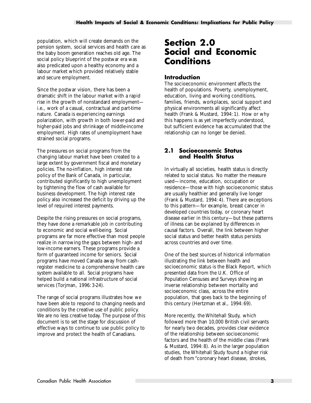<span id="page-10-0"></span>population, which will create demands on the pension system, social services and health care as the baby boom generation reaches old age. The social policy blueprint of the postwar era was also predicated upon a healthy economy and a labour market which provided relatively stable and secure employment.

Since the postwar vision, there has been a dramatic shift in the labour market with a rapid rise in the growth of nonstandard employment i.e., work of a casual, contractual and part-time nature. Canada is experiencing earnings polarization, with growth in both lower-paid and higher-paid jobs and shrinkage of middle-income employment. High rates of unemployment have strained social programs.

The pressures on social programs from the changing labour market have been created to a large extent by government fiscal and monetary policies. The no-inflation, high interest rate policy of the Bank of Canada, in particular, contributed significantly to high unemployment by tightening the flow of cash available for business development. The high interest rate policy also increased the deficit by driving up the level of required interest payments.

Despite the rising pressures on social programs, they have done a remarkable job in contributing to economic and social well-being. Social programs are far more effective than most people realize in narrowing the gaps between high- and low-income earners. These programs provide a form of guaranteed income for seniors. Social programs have moved Canada away from cashregister medicine to a comprehensive health care system available to all. Social programs have helped build a national infrastructure of social services (Torjman, 1996: 3-24).

The range of social programs illustrates how we have been able to respond to changing needs and conditions by the creative use of public policy. We are no less creative today. The purpose of this document is to set the stage for discussion of effective ways to continue to use public policy to improve and protect the health of Canadians.

# **Section 2.0 Social and Economic Conditions**

#### **Introduction**

The socioeconomic environment affects the health of populations. Poverty, unemployment, education, living and working conditions, families, friends, workplaces, social support and physical environments all significantly affect health (Frank & Mustard, 1994: 1). How or why this happens is as yet imperfectly understood, but sufficient evidence has accumulated that the relationship can no longer be denied.

#### **2.1 Socioeconomic Status and Health Status**

In virtually all societies, health status is directly related to social status. No matter the measure used—income, education, occupation or residence—those with high socioeconomic status are usually healthier and generally live longer (Frank & Mustard, 1994: 4). There are exceptions to this pattern—for example, breast cancer in developed countries today, or coronary heart disease earlier in this century—but these patterns of illness can be explained by differences in causal factors. Overall, the link between higher social status and better health status persists across countries and over time.

One of the best sources of historical information illustrating the link between health and socioeconomic status is the Black Report, which presented data from the U.K. Office of Population Censuses and Surveys showing an inverse relationship between mortality and socioeconomic class, across the entire population, that goes back to the beginning of this century (Hertzman et al., 1994: 69).

More recently, the Whitehall Study, which followed more than 10,000 British civil servants for nearly two decades, provides clear evidence of the relationship between socioeconomic factors and the health of the middle class (Frank & Mustard, 1994: 8). As in the larger population studies, the Whitehall Study found a higher risk of death from "coronary heart disease, strokes,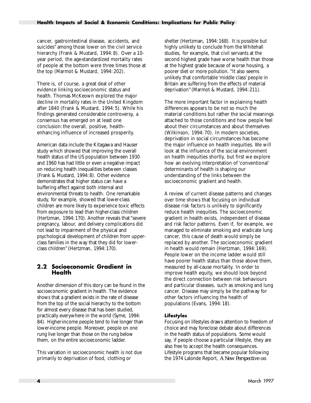<span id="page-11-0"></span>cancer, gastrointestinal disease, accidents, and suicides" among those lower on the civil service hierarchy (Frank & Mustard, 1994: 8). Over a 10 year period, the age-standardized mortality rates of people at the bottom were three times those at the top (Marmot & Mustard, 1994: 202).

There is, of course, a great deal of other evidence linking socioeconomic status and health. Thomas McKeown explored the major decline in mortality rates in the United Kingdom after 1840 (Frank & Mustard, 1994: 5). While his findings generated considerable controversy, a consensus has emerged on at least one conclusion: the overall, positive, healthenhancing influence of increased prosperity.

American data include the Kitagawa and Hauser study which showed that improving the overall health status of the US population between 1930 and 1960 has had little or even a negative impact on reducing health inequalities between classes (Frank & Mustard, 1994: 8). Other evidence demonstrates that higher status can have a buffering effect against both internal and environmental threats to health. One remarkable study, for example, showed that lower-class children are more likely to experience toxic effects from exposure to lead than higher-class children (Hertzman, 1994: 170). Another reveals that "severe pregnancy, labour, and delivery complications did not lead to impairment of the physical and psychological development of children from upperclass families in the way that they did for lowerclass children"(Hertzman, 1994: 170).

#### **2.2 Socioeconomic Gradient in Health**

Another dimension of this story can be found in the socioeconomic gradient in health. The evidence shows that a gradient exists in the rate of disease from the top of the social hierarchy to the bottom for almost every disease that has been studied, practically everywhere in the world (Syme, 1994: 84). Higher-income people tend to live longer than lower-income people. Moreover, people on one rung live longer than those on the rung below them, on the entire socioeconomic ladder.

This variation in socioeconomic health is not due primarily to deprivation of food, clothing or

shelter (Hertzman, 1994: 168). It is possible but highly unlikely to conclude from the Whitehall studies, for example, that civil servants at the second highest grade have worse health than those at the highest grade because of worse housing, a poorer diet or more pollution. "It also seems unlikely that comfortable 'middle class' people in Britain are suffering from the effects of material deprivation" (Marmot & Mustard, 1994: 211).

The more important factor in explaining health differences appears to be not so much the material conditions but rather the social meanings attached to those conditions and how people feel about their circumstances and about themselves (Wilkinson, 1994: 70). In modern societies, deprivation in social circumstances has become the major influence on health inequities. We will look at the influence of the social environment on health inequities shortly, but first we explore how an evolving interpretation of 'conventional' determinants of health is shaping our understanding of the links between the socioeconomic gradient and health.

A review of current disease patterns and changes over time shows that focusing on individual disease risk factors is unlikely to significantly reduce health inequities. The socioeconomic gradient in health exists, independent of disease and risk factor patterns. Even if, for example, we managed to eliminate smoking and eradicate lung cancer, this cause of death would simply be replaced by another. The socioeconomic gradient in health would remain (Hertzman, 1994: 169). People lower on the income ladder would still have poorer health status than those above them, measured by all-cause mortality. In order to improve health equity, we should look beyond the direct connection between risk behaviours and particular diseases, such as smoking and lung cancer. Disease may simply be the pathway for other factors influencing the health of populations (Evans, 1994: 18).

#### **Lifestyles**

Focusing on lifestyles draws attention to freedom of choice and may foreclose debate about differences in the health status of populations. Some would say, if people choose a particular lifestyle, they are also free to accept the health consequences. Lifestyle programs that became popular following the 1974 Lalonde Report, *A New Perspective on*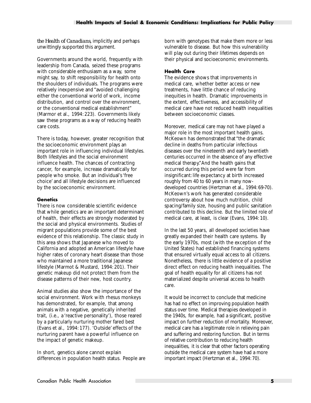<span id="page-12-0"></span>*the Health of Canadians,* implicitly and perhaps unwittingly supported this argument.

Governments around the world, frequently with leadership from Canada, seized these programs with considerable enthusiasm as a way, some might say, to shift responsibility for health onto the shoulders of individuals. The programs were relatively inexpensive and "avoided challenging either the conventional world of work, income distribution, and control over the environment, or the conventional medical establishment" (Marmor et al., 1994: 223). Governments likely saw these programs as a way of reducing health care costs.

There is today, however, greater recognition that the socioeconomic environment plays an important role in influencing individual lifestyles. Both lifestyles and the social environment influence health. The chances of contracting cancer, for example, increase dramatically for people who smoke. But an individual's 'free choice' and all lifestyle decisions are influenced by the socioeconomic environment.

#### **Genetics**

There is now considerable scientific evidence that while genetics are an important determinant of health, their effects are strongly moderated by the social and physical environments. Studies of migrant populations provide some of the best evidence of this relationship. The classic study in this area shows that Japanese who moved to California and adopted an American lifestyle have higher rates of coronary heart disease than those who maintained a more traditional Japanese lifestyle (Marmot & Mustard, 1994: 201). Their genetic makeup did not protect them from the disease patterns of their new, host country.

Animal studies also show the importance of the social environment. Work with rhesus monkeys has demonstrated, for example, that among animals with a negative, genetically inherited trait, (i.e., a 'reactive personality'), those reared by a particularly nurturing mother fared best (Evans et al., 1994: 177). 'Outside' effects of the nurturing parent have a powerful influence on the impact of genetic makeup.

In short, genetics alone cannot explain differences in population health status. People are born with genotypes that make them more or less vulnerable to disease. But how this vulnerability will play out during their lifetimes depends on their physical and socioeconomic environments.

#### **Health Care**

The evidence shows that improvements in medical care, whether better access or new treatments, have little chance of reducing inequities in health. Dramatic improvements in the extent, effectiveness, and accessibility of medical care have not reduced health inequalities between socioeconomic classes.

Moreover, medical care may not have played a major role in the most important health gains. McKeown has demonstrated that "the dramatic decline in deaths from particular infectious diseases over the nineteenth and early twentieth centuries occurred in the absence of any effective medical therapy."And the health gains that occurred during this period were far from insignificant: life expectancy at birth increased roughly from 40 to 60 years in many nowdeveloped countries (Hertzman et al., 1994: 69-70). McKeown's work has generated considerable controversy about how much nutrition, child spacing/family size, housing and public sanitation contributed to this decline. But the limited role of medical care, at least, is clear (Evans, 1994: 10).

In the last 50 years, all developed societies have greatly expanded their health care systems. By the early 1970s, most (with the exception of the United States) had established financing systems that ensured virtually equal access to all citizens. Nonetheless, there is little evidence of a positive direct effect on reducing health inequalities. The goal of health equality for all citizens has not materialized despite universal access to health care.

It would be incorrect to conclude that medicine has had no effect on improving population health status over time. Medical therapies developed in the 1940s, for example, had a significant, positive impact on further reduction of mortality. Moreover, medical care has a legitimate role in relieving pain and suffering and restoring function. But in terms of relative contribution to reducing health inequalities, it is clear that other factors operating outside the medical care system have had a more important impact (Hertzman et al., 1994: 70).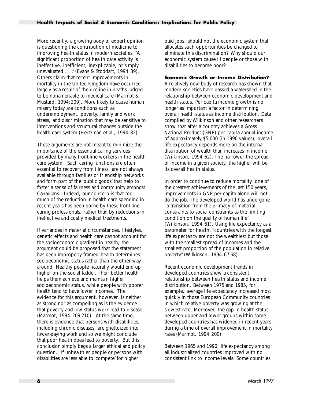<span id="page-13-0"></span>More recently, a growing body of expert opinion is questioning the contribution of medicine to improving health status in modern societies. "A significant proportion of health care activity is ineffective, inefficient, inexplicable, or simply unevaluated . . ." (Evans & Stoddart, 1994: 39). Others claim that recent improvements in mortality in the United Kingdom have occurred largely as a result of the decline in deaths judged to be nonamenable to medical care (Marmot & Mustard, 1994: 209). More likely to cause human misery today are conditions such as underemployment, poverty, family and work stress, and discrimination that may be sensitive to interventions and structural changes outside the health care system (Hertzman et al., 1994: 82).

These arguments are not meant to minimize the importance of the essential caring services provided by many front-line workers in the health care system. Such caring functions are often essential to recovery from illness, are not always available through families or friendship networks and form part of the 'public goods' that help to foster a sense of fairness and community amongst Canadians. Indeed, our concern is that too much of the reduction in health care spending in recent years has been borne by these front-line caring professionals, rather than by reductions in ineffective and costly medical treatments.

If variances in material circumstances, lifestyles, genetic effects and health care cannot account for the socioeconomic gradient in health, the argument could be proposed that the statement has been improperly framed: health determines socioeconomic status rather than the other way around. Healthy people naturally would end up higher on the social ladder. Their better health helps them achieve and maintain higher socioeconomic status, while people with poorer health tend to have lower incomes. The evidence for this argument, however, is neither as strong nor as compelling as is the evidence that poverty and low status work lead to disease (Marmot, 1994: 209-210). At the same time, there is evidence that persons with disabilities, including chronic diseases, are ghettoized into lower-paying work and so we might conclude that poor health does lead to poverty. But this conclusion simply begs a larger ethical and policy question. If unhealthier people or persons with disabilities are less able to 'compete' for higher

paid jobs, should not the economic system that allocates such opportunities be changed to eliminate this discrimination? Why should our economic system cause ill people or those with disabilities to become poor?

#### **Economic Growth or Income Distribution?**

A relatively new body of research has shown that modern societies have passed a watershed in the relationship between economic development and health status. Per capita income growth is no longer as important a factor in determining overall health status as income distribution. Data compiled by Wilkinson and other researchers show that after a country achieves a Gross National Product (GNP) per capita annual income of approximately \$5,000 (in 1990 values), overall life expectancy depends more on the internal distribution of wealth than increases in income (Wilkinson, 1994: 62). The narrower the spread of income in a given society, the higher will be its overall health status.

In order to continue to reduce mortality, one of the greatest achievements of the last 150 years, improvements in GNP per capita alone will not do the job. The developed world has undergone "a transition from the primacy of material constraints to social constraints as the limiting condition on the quality of human life" (Wilkinson, 1994: 61). Using life expectancy as a barometer for health, "countries with the longest life expectancy are not the wealthiest but those with the smallest spread of incomes and the smallest proportion of the population in relative poverty" (Wilkinson, 1994: 67-68).

Recent economic development trends in developed countries show a consistent relationship between health status and income distribution. Between 1975 and 1985, for example, average life expectancy increased most quickly in those European Community countries in which relative poverty was growing at the slowest rate. Moreover, the gap in health status between upper and lower groups within some developed countries has widened in recent years during a time of overall improvement in mortality rates (Marmot, 1994: 200).

Between 1965 and 1990, life expectancy among all industrialized countries improved with no consistent link to income levels. Some countries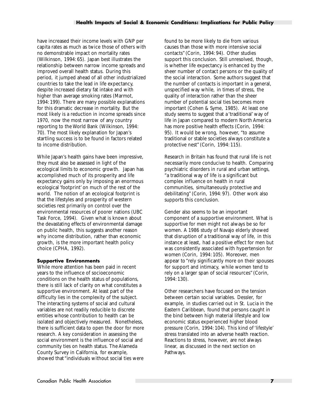<span id="page-14-0"></span>have increased their income levels with GNP per capita rates as much as twice those of others with no demonstrable impact on mortality rates (Wilkinson, 1994: 65). Japan best illustrates the relationship between narrow income spreads and improved overall health status. During this period, it jumped ahead of all other industrialized countries to take the lead in life expectancy, despite increased dietary fat intake and with higher than average smoking rates (Marmot, 1994: 199). There are many possible explanations for this dramatic decrease in mortality. But the most likely is a reduction in income spreads since 1970, now the most narrow of any country reporting to the World Bank (Wilkinson, 1994: 70). The most likely explanation for Japan's startling success is to be found in factors related to income distribution.

While Japan's health gains have been impressive, they must also be assessed in light of the ecological limits to economic growth. Japan has accomplished much of its prosperity and life expectancy gains only by imposing an enormous ecological 'footprint' on much of the rest of the world. The notion of an ecological footprint is that the lifestyles and prosperity of western societies rest primarily on control over the environmental resources of poorer nations (UBC Task Force, 1994). Given what is known about the devastating effects of environmental damage on public health, this suggests another reason why income distribution, rather than economic growth, is the more important health policy choice (CPHA, 1992).

#### **Supportive Environments**

While more attention has been paid in recent years to the influence of socioeconomic conditions on the health status of populations, there is still lack of clarity on what constitutes a supportive environment. At least part of the difficulty lies in the complexity of the subject. The interacting systems of social and cultural variables are not readily reducible to discrete entities whose contribution to health can be isolated and objectively measured. Nonetheless, there is sufficient data to open the door for more research. A key consideration in assessing the social environment is the influence of social and community ties on health status. The Alameda County Survey in California, for example, showed that "individuals without social ties were

found to be more likely to die from various causes than those with more intensive social contacts" (Corin, 1994: 94). Other studies support this conclusion. Still unresolved, though, is whether life expectancy is enhanced by the sheer number of contact persons or the quality of the social interaction. Some authors suggest that the number of contacts is important in a general, unspecified way while, in times of stress, the quality of interaction rather than the sheer number of potential social ties becomes more important (Cohen & Syme, 1985). At least one study seems to suggest that a 'traditional' way of life in Japan compared to modern North America has more positive health effects (Corin, 1994: 95). It would be wrong, however, "to assume traditional or stable societies always constitute a protective nest" (Corin, 1994: 115).

Research in Britain has found that rural life is not necessarily more conducive to health. Comparing psychiatric disorders in rural and urban settings, "a traditional way of life is a significant but complex influence on health in rural communities, simultaneously protective and debilitating" (Corin, 1994: 97). Other work also supports this conclusion.

Gender also seems to be an important component of a supportive environment. What is supportive for men might not always be so for women. A 1986 study of Navajo elderly showed that disruption of a traditional way of life, in this instance at least, had a positive effect for men but was consistently associated with hypertension for women (Corin, 1994: 105). Moreover, men appear to "rely significantly more on their spouses for support and intimacy, while women tend to rely on a larger span of social resources" (Corin, 1994: 130).

Other researchers have focused on the tension between certain social variables. Dessler, for example, in studies carried out in St. Lucia in the Eastern Caribbean, found that persons caught in the bind between high material lifestyle and low economic status experienced higher blood pressure (Corin, 1994: 104). This kind of 'lifestyle' stress translated into an adverse health reaction. Reactions to stress, however, are not always linear, as discussed in the next section on Pathways.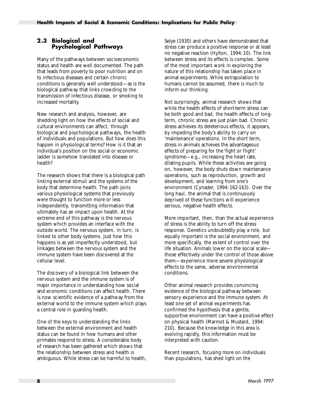#### <span id="page-15-0"></span>**2.3 Biological and Psychological Pathways**

Many of the pathways between socioeconomic status and health are well documented. The path that leads from poverty to poor nutrition and on to infectious diseases and certain chronic conditions is generally well understood—as is the biological pathway that links crowding to the transmission of infectious disease, or smoking to increased mortality.

New research and analysis, however, are shedding light on how the effects of social and cultural environments can affect, through biological and psychological pathways, the health of individuals and populations. But how does this happen in physiological terms? How is it that an individual's position on the social or economic ladder is somehow translated into disease or health?

The research shows that there is a biological path linking external stimuli and the systems of the body that determine health. The path joins various physiological systems that previously were thought to function more or less independently, transmitting information that ultimately has an impact upon health. At the extreme end of this pathway is the nervous system which provides an interface with the outside world. The nervous system, in turn, is linked to other body systems. Just how this happens is as yet imperfectly understood, but linkages between the nervous system and the immune system have been discovered at the cellular level.

The discovery of a biological link between the nervous system and the immune system is of major importance in understanding how social and economic conditions can affect health. There is now scientific evidence of a pathway from the external world to the immune system which plays a central role in guarding health.

One of the keys to understanding the links between the external environment and health status can be found in how humans and other primates respond to stress. A considerable body of research has been gathered which shows that the relationship between stress and health is ambiguous. While stress can be harmful to health, Selye (1930) and others have demonstrated that stress can produce a positive response or at least no negative reaction (Hylton, 1994: 10). The link between stress and its effects is complex. Some of the most important work in exploring the nature of this relationship has taken place in animal experiments. While extrapolation to humans cannot be assumed, there is much to inform our thinking.

Not surprisingly, animal research shows that while the health effects of short-term stress can be both good and bad, the health effects of longterm, chronic stress are just plain bad. Chronic stress achieves its deleterious effects, it appears, by impeding the body's ability to carry on 'maintenance' operations. In the short term, stress in animals achieves the advantageous effects of preparing for the 'fight or flight' syndrome—e.g., increasing the heart rate, dilating pupils. While these activities are going on, however, the body shuts down maintenance operations, such as reproduction, growth and development, and learning from one's environment (Cynader, 1994: 162-163). Over the long haul, the animal that is continuously deprived of these functions will experience serious, negative health effects.

More important, then, than the actual experience of stress is the ability to turn off the stress response. Genetics undoubtedly play a role, but equally important is the social environment, and more specifically, the extent of control over the life situation. Animals lower on the social scale those effectively under the control of those above them—experience more severe physiological effects to the same, adverse environmental conditions.

Other animal research provides convincing evidence of the biological pathway between sensory experience and the immune system. At least one set of animal experiments has confirmed the hypothesis that a gentle, supportive environment can have a positive effect on physical health (Marmot & Mustard, 1994: 210). Because the knowledge in this area is evolving rapidly, this information must be interpreted with caution.

Recent research, focusing more on individuals than populations, has shed light on the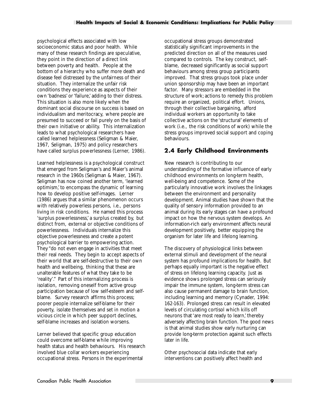<span id="page-16-0"></span>psychological effects associated with low socioeconomic status and poor health. While many of these research findings are speculative, they point in the direction of a direct link between poverty and health. People at the bottom of a hierarchy who suffer more death and disease feel distressed by the unfairness of their situation. They internalize the unfair risk conditions they experience as aspects of their own 'badness' or 'failure,' adding to their distress. This situation is also more likely when the dominant social discourse on success is based on individualism and meritocracy, where people are presumed to succeed or fail purely on the basis of their own initiative or ability. This internalization leads to what psychological researchers have called learned helplessness (Seligman & Maier, 1967, Seligman, 1975) and policy researchers have called surplus powerlessness (Lerner, 1986).

Learned helplessness is a psychological construct that emerged from Seligman's and Maier's animal research in the 1960s (Seligman & Maier, 1967). Seligman has now coined another term, 'learned optimism,' to encompass the dynamic of learning how to develop positive self-images. Lerner (1986) argues that a similar phenomenon occurs with relatively powerless persons, i.e., persons living in risk conditions. He named this process 'surplus powerlessness,' a surplus created by, but distinct from, external or objective conditions of powerlessness. Individuals internalize this objective powerlessness and create a potent psychological barrier to empowering action. They "do not even engage in activities that meet their real needs. They begin to accept aspects of their world that are self-destructive to their own health and wellbeing, thinking that these are unalterable features of what they take to be 'reality'." Part of this internalizing process is isolation, removing oneself from active group participation because of low self-esteem and selfblame. Survey research affirms this process; poorer people internalize self-blame for their poverty, isolate themselves and set in motion a vicious circle in which peer support declines, self-blame increases and isolation worsens.

Lerner believed that specific group education could overcome self-blame while improving health status and health behaviours. His research involved blue collar workers experiencing occupational stress. Persons in the experimental

occupational stress groups demonstrated statistically significant improvements in the predicted direction on all of the measures used compared to controls. The key construct, selfblame, decreased significantly as social support behaviours among stress group participants improved. That stress groups took place under union sponsorship may have been an important factor. Many stressors are embedded in the structure of work; actions to remedy this problem require an organized, political effort. Unions, through their collective bargaining, afford individual workers an opportunity to take collective actions on the 'structural' elements of work (i.e., the risk conditions of work) while the stress groups improved social support and coping behaviours.

#### **2.4 Early Childhood Environments**

New research is contributing to our understanding of the formative influence of early childhood environments on long-term health, well-being and competence. Some of the particularly innovative work involves the linkages between the environment and personality development. Animal studies have shown that the quality of sensory information provided to an animal during its early stages can have a profound impact on how the nervous system develops. An information-rich early environment affects neural development positively, better equipping the organism for later life and lifelong learning.

The discovery of physiological links between external stimuli and development of the neural system has profound implications for health. But perhaps equally important is the negative effect of stress on lifelong learning capacity. Just as evidence shows prolonged stress can seriously impair the immune system, long-term stress can also cause permanent damage to brain function, including learning and memory (Cynader, 1994: 162-163). Prolonged stress can result in elevated levels of circulating cortisol which kills off neurons that 'are most ready to learn,' thereby adversely affecting brain function. The good news is that animal studies show early nurturing can provide long-term protection against such effects later in life.

Other psychosocial data indicate that early interventions can positively affect health and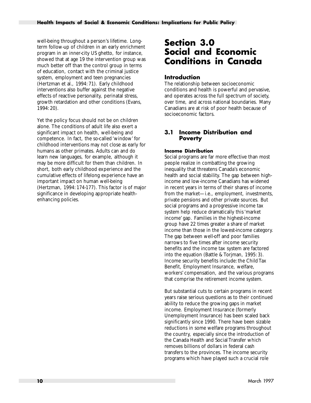<span id="page-17-0"></span>well-being throughout a person's lifetime. Longterm follow-up of children in an early enrichment program in an inner-city US ghetto, for instance, showed that at age 19 the intervention group was much better off than the control group in terms of education, contact with the criminal justice system, employment and teen pregnancies (Hertzman et al., 1994: 71). Early childhood interventions also buffer against the negative effects of reactive personality, perinatal stress, growth retardation and other conditions (Evans, 1994: 20).

Yet the policy focus should not be on children alone. The conditions of adult life also exert a significant impact on health, well-being and competence. In fact, the so-called 'window' for childhood interventions may not close as early for humans as other primates. Adults can and do learn new languages, for example, although it may be more difficult for them than children. In short, both early childhood experience and the cumulative effects of lifelong experience have an important impact on human well-being (Hertzman, 1994: 174-177). This factor is of major significance in developing appropriate healthenhancing policies.

## **Section 3.0 Social and Economic Conditions in Canada**

#### **Introduction**

The relationship between socioeconomic conditions and health is powerful and pervasive, and operates across the full spectrum of society, over time, and across national boundaries. Many Canadians are at risk of poor health because of socioeconomic factors.

#### **3.1 Income Distribution and Poverty**

#### **Income Distribution**

Social programs are far more effective than most people realize in combatting the growing inequality that threatens Canada's economic health and social stability. The gap between highincome and low-income Canadians has widened in recent years in terms of their shares of income from the market—i.e., employment, investments, private pensions and other private sources. But social programs and a progressive income tax system help reduce dramatically this 'market income' gap. Families in the highest-income group have 22 times greater a share of market income than those in the lowest-income category. The gap between well-off and poor families narrows to five times after income security benefits and the income tax system are factored into the equation (Battle & Torjman, 1995: 3). Income security benefits include: the Child Tax Benefit, Employment Insurance, welfare, workers' compensation, and the various programs that comprise the retirement income system.

But substantial cuts to certain programs in recent years raise serious questions as to their continued ability to reduce the growing gaps in market income. Employment Insurance (formerly Unemployment Insurance) has been scaled back significantly since 1990. There have been sizable reductions in some welfare programs throughout the country, especially since the introduction of the Canada Health and Social Transfer which removes billions of dollars in federal cash transfers to the provinces. The income security programs which have played such a crucial role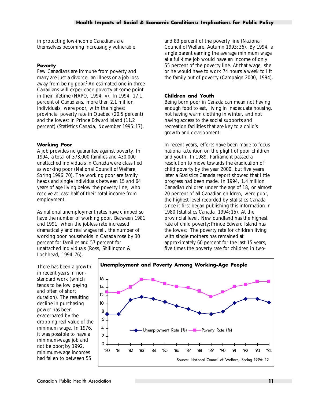<span id="page-18-0"></span>in protecting low-income Canadians are themselves becoming increasingly vulnerable.

#### **Poverty**

Few Canadians are immune from poverty and many are just a divorce, an illness or a job loss away from being poor.<sup>1</sup> An estimated one in three Canadians will experience poverty at some point in their lifetime (NAPO, 1994: iv). In 1994, 17.1 percent of Canadians, more than 2.1 million individuals, were poor, with the highest provincial poverty rate in Quebec (20.5 percent) and the lowest in Prince Edward Island (11.2 percent) (Statistics Canada, November 1995: 17).

#### **Working Poor**

A job provides no guarantee against poverty. In 1994, a total of 373,000 families and 430,000 unattached individuals in Canada were classified as working poor (National Council of Welfare, Spring 1996: 70). The working poor are family heads and single individuals between 15 and 64 years of age living below the poverty line, who receive at least half of their total income from employment.

As national unemployment rates have climbed so have the number of working poor. Between 1981 and 1991, when the jobless rate increased dramatically and real wages fell, the number of working poor households in Canada rose by 30 percent for families and 57 percent for unattached individuals (Ross, Shillington & Lochhead, 1994: 76).

and 83 percent of the poverty line (National Council of Welfare, Autumn 1993: 36). By 1994, a single parent earning the average minimum wage at a full-time job would have an income of only 55 percent of the poverty line. At that wage, she or he would have to work 74 hours a week to lift the family out of poverty (Campaign 2000, 1994).

#### **Children and Youth**

Being born poor in Canada can mean not having enough food to eat, living in inadequate housing, not having warm clothing in winter, and not having access to the social supports and recreation facilities that are key to a child's growth and development.

In recent years, efforts have been made to focus national attention on the plight of poor children and youth. In 1989, Parliament passed a resolution to move towards the eradication of child poverty by the year 2000, but five years later a Statistics Canada report showed that little progress had been made. In 1994, 1.4 million Canadian children under the age of 18, or almost 20 percent of all Canadian children, were poor, the highest level recorded by Statistics Canada since it first began publishing this information in 1980 (Statistics Canada, 1994: 15). At the provincial level, Newfoundland has the highest rate of child poverty; Prince Edward Island has the lowest. The poverty rate for children living with single mothers has remained at approximately 60 percent for the last 15 years, five times the poverty rate for children in two-

There has been a growth in recent years in nonstandard work (which tends to be low paying and often of short duration). The resulting decline in purchasing power has been exacerbated by the dropping real value of the minimum wage. In 1976, it was possible to have a minimum-wage job and not be poor; by 1992, minimum-wage incomes had fallen to between 55

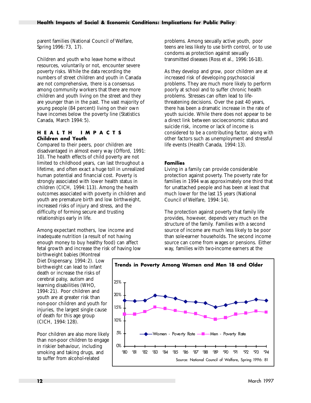<span id="page-19-0"></span>parent families (National Council of Welfare, Spring 1996: 73, 17).

Children and youth who leave home without resources, voluntarily or not, encounter severe poverty risks. While the data recording the numbers of street children and youth in Canada are not comprehensive, there is a consensus among community workers that there are more children and youth living on the street and they are younger than in the past. The vast majority of young people (84 percent) living on their own have incomes below the poverty line (Statistics Canada, March 1994: 5).

#### **HEALTH IMPACTS Children and Youth**

Compared to their peers, poor children are disadvantaged in almost every way (Offord, 1991: 10). The health effects of child poverty are not limited to childhood years, can last throughout a lifetime, and often exact a huge toll in unrealized human potential and financial cost. Poverty is strongly associated with lower health status in children (CICH, 1994: 113). Among the health outcomes associated with poverty in children and youth are premature birth and low birthweight, increased risks of injury and stress, and the difficulty of forming secure and trusting relationships early in life.

Among expectant mothers, low income and inadequate nutrition (a result of not having enough money to buy healthy food) can affect fetal growth and increase the risk of having low

birthweight babies (Montreal Diet Dispensary, 1994: 2). Low birthweight can lead to infant death or increase the risks of cerebral palsy, autism and learning disabilities (WHO, 1994: 21). Poor children and youth are at greater risk than non-poor children and youth for injuries, the largest single cause of death for this age group (CICH, 1994: 128).

Poor children are also more likely than non-poor children to engage in riskier behaviour, including smoking and taking drugs, and to suffer from alcohol-related

problems. Among sexually active youth, poor teens are less likely to use birth control, or to use condoms as protection against sexually transmitted diseases (Ross et al., 1996: 16-18).

As they develop and grow, poor children are at increased risk of developing psychosocial problems. They are much more likely to perform poorly at school and to suffer chronic health problems. Stresses can often lead to lifethreatening decisions. Over the past 40 years, there has been a dramatic increase in the rate of youth suicide. While there does not appear to be a direct link between socioeconomic status and suicide risk, income or lack of income is considered to be a contributing factor, along with other factors such as unemployment and stressful life events (Health Canada, 1994: 13).

#### **Families**

Living in a family can provide considerable protection against poverty. The poverty rate for families in 1994 was approximately one third that for unattached people and has been at least that much lower for the last 15 years (National Council of Welfare, 1994: 14).

The protection against poverty that family life provides, however, depends very much on the structure of the family. Families with a second source of income are much less likely to be poor than sole-earner households. The second income source can come from wages or pensions. Either way, families with two-income earners at the

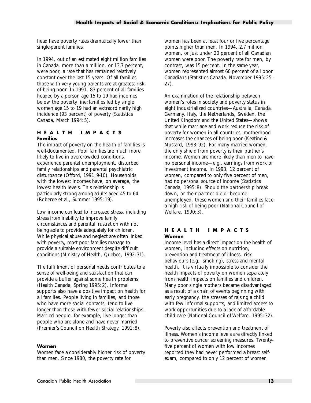<span id="page-20-0"></span>head have poverty rates dramatically lower than single-parent families.

In 1994, out of an estimated eight million families in Canada, more than a million, or 13.7 percent, were poor, a rate that has remained relatively constant over the last 15 years. Of all families, those with very young parents are at greatest risk of being poor. In 1991, 83 percent of all families headed by a person age 15 to 19 had incomes below the poverty line; families led by single women age 15 to 19 had an extraordinarily high incidence (93 percent) of poverty (Statistics Canada, March 1994: 5).

#### **HEALTH IMPACTS Families**

The impact of poverty on the health of families is well-documented. Poor families are much more likely to live in overcrowded conditions, experience parental unemployment, disturbed family relationships and parental psychiatric disturbance (Offord, 1991: 9-10). Households with the lowest incomes have, on average, the lowest health levels. This relationship is particularly strong among adults aged 45 to 64 (Roberge et al., Summer 1995: 19).

Low income can lead to increased stress, including stress from inability to improve family circumstances and parental frustration with not being able to provide adequately for children. While physical abuse and neglect are often linked with poverty, most poor families manage to provide a suitable environment despite difficult conditions (Ministry of Health, Quebec, 1992: 31).

The fulfillment of personal needs contributes to a sense of well-being and satisfaction that can provide a buffer against some health problems (Health Canada, Spring 1995: 2). Informal supports also have a positive impact on health for all families. People living in families, and those who have more social contacts, tend to live longer than those with fewer social relationships. Married people, for example, live longer than people who are alone and have never married (Premier's Council on Health Strategy, 1991: 8).

#### **Women**

Women face a considerably higher risk of poverty than men. Since 1980, the poverty rate for

women has been at least four or five percentage points higher than men. In 1994, 2.7 million women, or just under 20 percent of all Canadian women were poor. The poverty rate for men, by contrast, was 15 percent. In the same year, women represented almost 60 percent of all poor Canadians (Statistics Canada, November 1995: 25- 27).

An examination of the relationship between women's roles in society and poverty status in eight industrialized countries—Australia, Canada, Germany, Italy, the Netherlands, Sweden, the United Kingdom and the United States—shows that while marriage and work reduce the risk of poverty for women in all countries, motherhood increases the chances of being poor (Keating & Mustard, 1993: 92). For many married women, the only shield from poverty is their partner's income. Women are more likely than men to have no personal income—e.g., earnings from work or investment income. In 1993, 12 percent of women, compared to only five percent of men, had no personal source of income (Statistics Canada, 1995: 8). Should the partnership break down, or their partner die or become unemployed, these women and their families face a high risk of being poor (National Council of Welfare, 1990: 3).

#### **HEALTH IMPACTS Women**

Income level has a direct impact on the health of women, including effects on nutrition, prevention and treatment of illness, risk behaviours (e.g., smoking), stress and mental health. It is virtually impossible to consider the health impacts of poverty on women separately from health impacts on families and children. Many poor single mothers became disadvantaged as a result of a chain of events beginning with early pregnancy, the stresses of raising a child with few informal supports, and limited access to work opportunities due to a lack of affordable child care (National Council of Welfare, 1995: 32).

Poverty also affects prevention and treatment of illness. Women's income levels are directly linked to preventive cancer screening measures. Twentyfive percent of women with low incomes reported they had never performed a breast selfexam, compared to only 12 percent of women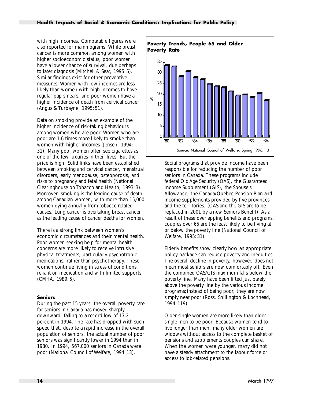<span id="page-21-0"></span>with high incomes. Comparable figures were also reported for mammograms. While breast cancer is more common among women with higher socioeconomic status, poor women have a lower chance of survival, due perhaps to later diagnosis (Mitchell & Sear, 1995: 5). Similar findings exist for other preventive measures. Women with low incomes are less likely than women with high incomes to have regular pap smears, and poor women have a higher incidence of death from cervical cancer (Angus & Turbayne, 1995: 51).

Data on smoking provide an example of the higher incidence of risk-taking behaviours among women who are poor. Women who are poor are 1.6 times more likely to smoke than women with higher incomes (Jensen, 1994: 31). Many poor women often see cigarettes as one of the few luxuries in their lives. But the price is high. Solid links have been established between smoking and cervical cancer, menstrual disorders, early menopause, osteoporosis, and risks to pregnancy and fetal health (National Clearinghouse on Tobacco and Health, 1993: 3). Moreover, smoking is the leading cause of death among Canadian women, with more than 15,000 women dying annually from tobacco-related causes. Lung cancer is overtaking breast cancer as the leading cause of cancer deaths for women.

There is a strong link between women's economic circumstances and their mental health. Poor women seeking help for mental health concerns are more likely to receive intrusive physical treatments, particularly psychotropic medications, rather than psychotherapy. These women continue living in stressful conditions, reliant on medication and with limited supports (CMHA, 1989: 5).

#### **Seniors**

During the past 15 years, the overall poverty rate for seniors in Canada has moved sharply downward, falling to a record low of 17.2 percent in 1994. The rate has dropped with such speed that, despite a rapid increase in the overall population of seniors, the actual number of poor seniors was significantly lower in 1994 than in 1980. In 1994, 567,000 seniors in Canada were poor (National Council of Welfare, 1994: 13).



Social programs that provide income have been responsible for reducing the number of poor seniors in Canada. These programs include federal Old Age Security (OAS), the Guaranteed Income Supplement (GIS), the Spouse's Allowance, the Canada/Quebec Pension Plan and income supplements provided by five provinces and the territories. (OAS and the GIS are to be replaced in 2001 by a new Seniors Benefit). As a result of these overlapping benefits and programs, couples over 65 are the least likely to be living at or below the poverty line (National Council of Welfare, 1995: 31).

Elderly benefits show clearly how an appropriate policy package can reduce poverty and inequities. The overall decline in poverty, however, does not mean most seniors are now comfortably off. Even the combined OAS/GIS maximum falls below the poverty line. Many have been lifted just barely above the poverty line by the various income programs; instead of being poor, they are now simply near poor (Ross, Shillington & Lochhead, 1994: 119).

Older single women are more likely than older single men to be poor. Because women tend to live longer than men, many older women are widows without access to the complete basket of pensions and supplements couples can share. When the women were younger, many did not have a steady attachment to the labour force or access to job-related pensions.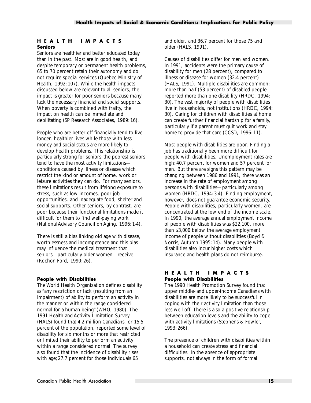#### <span id="page-22-0"></span>**HEALTH IMPACTS Seniors**

Seniors are healthier and better educated today than in the past. Most are in good health, and despite temporary or permanent health problems, 65 to 70 percent retain their autonomy and do not require special services (Quebec Ministry of Health, 1992: 107). While the health impacts discussed below are relevant to all seniors, the impact is greater for poor seniors because many lack the necessary financial and social supports. When poverty is combined with frailty, the impact on health can be immediate and debilitating (SP Research Associates, 1989: 16).

People who are better off financially tend to live longer, healthier lives while those with less money and social status are more likely to develop health problems. This relationship is particularly strong for seniors: the poorest seniors tend to have the most activity limitations conditions caused by illness or disease which restrict the kind or amount of home, work or leisure activities they can do. For many seniors, these limitations result from lifelong exposure to stress, such as low incomes, poor job opportunities, and inadequate food, shelter and social supports. Other seniors, by contrast, are poor because their functional limitations made it difficult for them to find well-paying work (National Advisory Council on Aging, 1996: 1-4).

There is still a bias linking old age with disease, worthlessness and incompetence and this bias may influence the medical treatment that seniors—particularly older women—receive (Rochon Ford, 1990: 26).

#### **People with Disabilities**

The World Health Organization defines disability as "any restriction or lack (resulting from an impairment) of ability to perform an activity in the manner or within the range considered normal for a human being" (WHO, 1980). The 1991 Health and Activity Limitation Survey (HALS) found that 4.2 million Canadians, or 15.5 percent of the population, reported some level of disability for six months or more that restricted or limited their ability to perform an activity within a range considered normal. The survey also found that the incidence of disability rises with age; 27.7 percent for those individuals 65

and older, and 36.7 percent for those 75 and older (HALS, 1991).

Causes of disabilities differ for men and women. In 1991, accidents were the primary cause of disability for men (28 percent), compared to illness or disease for women (32.4 percent) (HALS, 1991). Multiple disabilities are common: more than half (53 percent) of disabled people reported more than one disability (HRDC, 1994: 30). The vast majority of people with disabilities live in households, not institutions (HRDC, 1994: 30). Caring for children with disabilities at home can create further financial hardship for a family, particularly if a parent must quit work and stay home to provide that care (CCSD, 1996: 11).

Most people with disabilities are poor. Finding a job has traditionally been more difficult for people with disabilities. Unemployment rates are high: 40.7 percent for women and 57 percent for men. But there are signs this pattern may be changing: between 1986 and 1991, there was an increase in the rate of employment among persons with disabilities—particularly among women (HRDC, 1994: 3-4). Finding employment, however, does not guarantee economic security. People with disabilities, particularly women, are concentrated at the low end of the income scale. In 1990, the average annual employment income of people with disabilities was \$22,100, more than \$3,000 below the average employment income of people without disabilities (Boyd & Norris, Autumn 1995: 14). Many people with disabilities also incur higher costs which insurance and health plans do not reimburse.

#### **HEALTH IMPACTS People with Disabilities**

The 1990 Health Promotion Survey found that upper middle- and upper-income Canadians with disabilities are more likely to be successful in coping with their activity limitation than those less well off. There is also a positive relationship between education levels and the ability to cope with activity limitations (Stephens & Fowler, 1993: 266).

The presence of children with disabilities within a household can create stress and financial difficulties. In the absence of appropriate supports, not always in the form of formal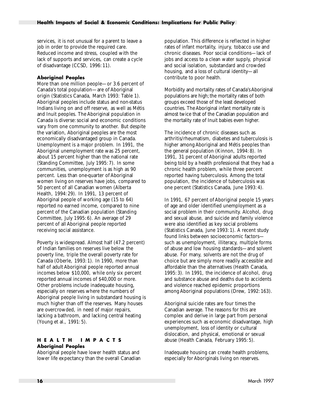<span id="page-23-0"></span>services, it is not unusual for a parent to leave a job in order to provide the required care. Reduced income and stress, coupled with the lack of supports and services, can create a cycle of disadvantage (CCSD, 1996: 11).

#### **Aboriginal Peoples**

More than one million people—or 3.6 percent of Canada's total population—are of Aboriginal origin (Statistics Canada, March 1993: Table 1). Aboriginal peoples include status and non-status Indians living on and off reserve, as well as Métis and Inuit peoples. The Aboriginal population in Canada is diverse: social and economic conditions vary from one community to another. But despite the variation, Aboriginal peoples are the most economically disadvantaged group in Canada. Unemployment is a major problem. In 1991, the Aboriginal unemployment rate was 25 percent, about 15 percent higher than the national rate (Standing Committee, July 1995: 7). In some communities, unemployment is as high as 90 percent. Less than one-quarter of Aboriginal women living on reserves have jobs, compared to 50 percent of all Canadian women (Alberta Health, 1994: 29). In 1991, 13 percent of Aboriginal people of working age (15 to 64) reported no earned income, compared to nine percent of the Canadian population (Standing Committee, July 1995: 6). An average of 29 percent of all Aboriginal people reported receiving social assistance.

Poverty is widespread. Almost half (47.2 percent) of Indian families on reserves live below the poverty line, triple the overall poverty rate for Canada (Oberle, 1993: 1). In 1990, more than half of adult Aboriginal people reported annual incomes below \$10,000, while only six percent reported annual incomes of \$40,000 or more. Other problems include inadequate housing, especially on reserves where the numbers of Aboriginal people living in substandard housing is much higher than off the reserves. Many houses are overcrowded, in need of major repairs, lacking a bathroom, and lacking central heating (Young et al., 1991: 5).

#### **HEALTH IMPACTS Aboriginal Peoples**

Aboriginal people have lower health status and lower life expectancy than the overall Canadian

population. This difference is reflected in higher rates of infant mortality, injury, tobacco use and chronic diseases. Poor social conditions—lack of jobs and access to a clean water supply, physical and social isolation, substandard and crowded housing, and a loss of cultural identity—all contribute to poor health.

Morbidity and mortality rates of Canada's Aboriginal populations are high; the mortality rates of both groups exceed those of the least developed countries. The Aboriginal infant mortality rate is almost twice that of the Canadian population and the mortality rate of Inuit babies even higher.

The incidence of chronic diseases such as arthritis/rheumatism, diabetes and tuberculosis is higher among Aboriginal and Métis peoples than the general population (Kinnon, 1994: 8). In 1991, 31 percent of Aboriginal adults reported being told by a health professional that they had a chronic health problem, while three percent reported having tuberculosis. Among the total population, the incidence of tuberculosis was one percent (Statistics Canada, June 1993: 4).

In 1991, 67 percent of Aboriginal people 15 years of age and older identified unemployment as a social problem in their community. Alcohol, drug and sexual abuse, and suicide and family violence were also identified as key social problems (Statistics Canada, June 1993: 1). A recent study found links between socioeconomic factors such as unemployment, illiteracy, multiple forms of abuse and low housing standards—and solvent abuse. For many, solvents are not the drug of choice but are simply more readily accessible and affordable than the alternatives (Health Canada, 1995: 3). In 1991, the incidence of alcohol, drug and substance abuse and deaths due to accidents and violence reached epidemic proportions among Aboriginal populations (Drew, 1992: 163).

Aboriginal suicide rates are four times the Canadian average. The reasons for this are complex and derive in large part from personal experiences such as economic disadvantage, high unemployment, loss of identity or cultural dislocation, and physical, emotional or sexual abuse (Health Canada, February 1995: 5).

Inadequate housing can create health problems, especially for Aboriginals living on reserves.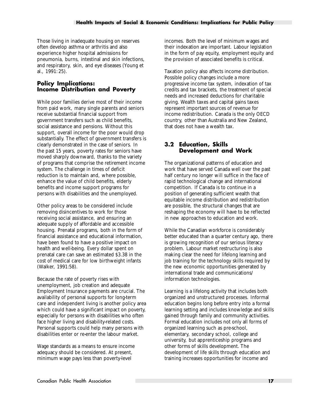<span id="page-24-0"></span>Those living in inadequate housing on reserves often develop asthma or arthritis and also experience higher hospital admissions for pneumonia, burns, intestinal and skin infections, and respiratory, skin, and eye diseases (Young et al., 1991: 25).

#### **Policy Implications: Income Distribution and Poverty**

While poor families derive most of their income from paid work, many single parents and seniors receive substantial financial support from government transfers such as child benefits, social assistance and pensions. Without this support, overall income for the poor would drop substantially. The effect of government transfers is clearly demonstrated in the case of seniors. In the past 15 years, poverty rates for seniors have moved sharply downward, thanks to the variety of programs that comprise the retirement income system. The challenge in times of deficit reduction is to maintain and, where possible, enhance the value of child benefits, elderly benefits and income support programs for persons with disabilities and the unemployed.

Other policy areas to be considered include removing disincentives to work for those receiving social assistance, and ensuring an adequate supply of affordable and accessible housing. Prenatal programs, both in the form of financial assistance and educational information, have been found to have a positive impact on health and well-being. Every dollar spent on prenatal care can save an estimated \$3.38 in the cost of medical care for low birthweight infants (Walker, 1991:58).

Because the rate of poverty rises with unemployment, job creation and adequate Employment Insurance payments are crucial. The availability of personal supports for long-term care and independent living is another policy area which could have a significant impact on poverty, especially for persons with disabilities who often face higher living and disability-related costs. Personal supports could help many persons with disabilities enter or re-enter the labour market.

Wage standards as a means to ensure income adequacy should be considered. At present, minimum wage pays less than poverty-level

incomes. Both the level of minimum wages and their indexation are important. Labour legislation in the form of pay equity, employment equity and the provision of associated benefits is critical.

Taxation policy also affects income distribution. Possible policy changes include a more progressive income tax system, indexation of tax credits and tax brackets, the treatment of special needs and increased deductions for charitable giving. Wealth taxes and capital gains taxes represent important sources of revenue for income redistribution. Canada is the only OECD country, other than Australia and New Zealand, that does not have a wealth tax.

#### **3.2 Education, Skills Development and Work**

The organizational patterns of education and work that have served Canada well over the past half century no longer will suffice in the face of rapid technological change and international competition. If Canada is to continue in a position of generating sufficient wealth that equitable income distribution and redistribution are possible, the structural changes that are reshaping the economy will have to be reflected in new approaches to education and work.

While the Canadian workforce is considerably better educated than a quarter century ago, there is growing recognition of our serious literacy problem. Labour market restructuring is also making clear the need for lifelong learning and job training for the technology skills required by the new economic opportunities generated by international trade and communications/ information technologies.

Learning is a lifelong activity that includes both organized and unstructured processes. Informal education begins long before entry into a formal learning setting and includes knowledge and skills gained through family and community activities. Formal education includes not only all forms of organized learning such as pre-school, elementary, secondary school, college and university, but apprenticeship programs and other forms of skills development. The development of life skills through education and training increases opportunities for income and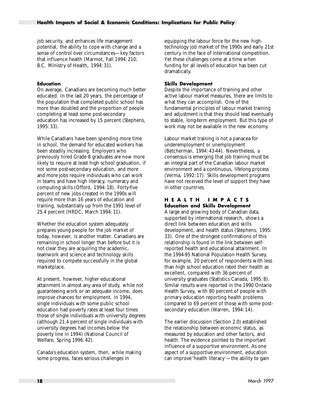<span id="page-25-0"></span>job security, and enhances life management potential, the ability to cope with change and a sense of control over circumstances—key factors that influence health (Marmot, Fall 1994: 210; B.C. Ministry of Health, 1994: 31).

#### **Education**

On average, Canadians are becoming much better educated. In the last 20 years, the percentage of the population that completed public school has more than doubled and the proportion of people completing at least some post-secondary education has increased by 15 percent (Stephens, 1995: 33).

While Canadians have been spending more time in school, the demand for educated workers has been steadily increasing. Employers who previously hired Grade 8 graduates are now more likely to require at least high school graduation, if not some post-secondary education, and more and more jobs require individuals who can work in teams and have high literacy, numeracy and computing skills (Offord, 1994: 18). Forty-five percent of new jobs created in the 1990s will require more than 16 years of education and training, substantially up from the 1991 level of 25.4 percent (HRDC, March 1994: 11).

Whether the education system adequately prepares young people for the job market of today, however, is another matter. Canadians are remaining in school longer than before but it is not clear they are acquiring the academic, teamwork and science and technology skills required to compete successfully in the global marketplace.

At present, however, higher educational attainment in almost any area of study, while not guaranteeing work or an adequate income, does improve chances for employment. In 1994, single individuals with some public school education had poverty rates at least four times those of single individuals with university degrees (although 21.4 percent of single individuals with university degrees had incomes below the poverty line in 1994) (National Council of Welfare, Spring 1996: 42).

Canada's education system, then, while making some progress, faces serious challenges in

equipping the labour force for the new hightechnology job market of the 1990s and early 21st century in the face of international competition. Yet these challenges come at a time when funding for all levels of education has been cut dramatically.

#### **Skills Development**

Despite the importance of training and other active labour market measures, there are limits to what they can accomplish. One of the fundamental principles of labour market training and adjustment is that they should lead eventually to stable, long-term employment. But this type of work may not be available in the new economy.

Labour market training is not a panacea for underemployment or unemployment (Betcherman, 1994: 43-44). Nevertheless, a consensus is emerging that job training must be an integral part of the Canadian labour market environment and a continuous, lifelong process (Verma, 1992: 17). Skills development programs have not received the level of support they have in other countries.

#### **HEALTH IMPACTS Education and Skills Development**

A large and growing body of Canadian data, supported by international research, shows a direct link between education and skills development, and health status (Stephens, 1995: 33). One of the strongest confirmations of this relationship is found in the link between selfreported health and educational attainment. In the 1994-95 National Population Health Survey, for example, 20 percent of respondents with less than high school education rated their health as excellent, compared with 36 percent of university graduates (Statistics Canada, 1995: 8). Similar results were reported in the 1990 Ontario Health Survey, with 80 percent of people with primary education reporting health problems compared to 69 percent of those with some postsecondary education (Warren, 1994: 14).

The earlier discussion (Section 2.0) established the relationship between economic status, as measured by education and other factors, and health. The evidence pointed to the important influence of a supportive environment. As one aspect of a supportive environment, education can improve 'health literacy'—the ability to gain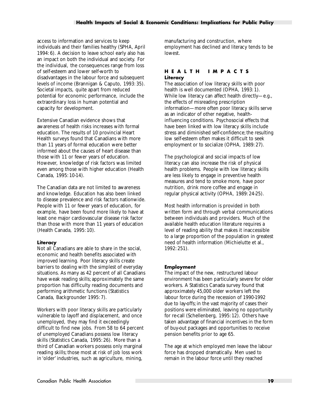<span id="page-26-0"></span>access to information and services to keep individuals and their families healthy (SPHA, April 1994: 6). A decision to leave school early also has an impact on both the individual and society. For the individual, the consequences range from loss of self-esteem and lower self-worth to disadvantages in the labour force and subsequent levels of income (Brannigan & Caputo, 1993: 35). Societal impacts, quite apart from reduced potential for economic performance, include the extraordinary loss in human potential and capacity for development.

Extensive Canadian evidence shows that awareness of health risks increases with formal education. The results of 10 provincial Heart Health surveys found that Canadians with more than 11 years of formal education were better informed about the causes of heart disease than those with 11 or fewer years of education. However, knowledge of risk factors was limited even among those with higher education (Health Canada, 1995: 10-14).

The Canadian data are not limited to awareness and knowledge. Education has also been linked to disease prevalence and risk factors nationwide. People with 11 or fewer years of education, for example, have been found more likely to have at least one major cardiovascular disease risk factor than those with more than 11 years of education (Health Canada, 1995: 10).

#### **Literacy**

Not all Canadians are able to share in the social, economic and health benefits associated with improved learning. Poor literacy skills create barriers to dealing with the simplest of everyday situations. As many as 42 percent of all Canadians have weak reading skills; approximately the same proportion has difficulty reading documents and performing arithmetic functions (Statistics Canada, Backgrounder 1995: 7).

Workers with poor literacy skills are particularly vulnerable to layoff and displacement, and once unemployed, they may find it exceedingly difficult to find new jobs. From 58 to 64 percent of unemployed Canadians possess low literacy skills (Statistics Canada, 1995: 26). More than a third of Canadian workers possess only marginal reading skills; those most at risk of job loss work in 'older' industries, such as agriculture, mining,

manufacturing and construction, where employment has declined and literacy tends to be lowest.

#### **HEALTH IMPACTS Literacy**

The association of low literacy skills with poor health is well documented (OPHA, 1993: 1). While low literacy can affect health directly—e.g., the effects of misreading prescription information—more often poor literacy skills serve as an indicator of other negative, healthinfluencing conditions. Psychosocial effects that have been linked with low literacy skills include stress and diminished self-confidence; the resulting low self-esteem often makes it difficult to seek employment or to socialize (OPHA, 1989: 27).

The psychological and social impacts of low literacy can also increase the risk of physical health problems. People with low literacy skills are less likely to engage in preventive health measures and tend to smoke more, have poor nutrition, drink more coffee and engage in regular physical activity (OPHA, 1989: 24-25).

Most health information is provided in both written form and through verbal communications between individuals and providers. Much of the available health education literature requires a level of reading ability that makes it inaccessible to a large proportion of the population in greatest need of health information (Michielutte et al., 1992: 251).

#### **Employment**

The impact of the new, restructured labour environment has been particularly severe for older workers. A Statistics Canada survey found that approximately 45,000 older workers left the labour force during the recession of 1990-1992 due to lay-offs; in the vast majority of cases their positions were eliminated, leaving no opportunity for re-call (Schellenberg, 1995: 12). Others have taken advantage of financial incentives in the form of buy-out packages and opportunities to receive pension benefits prior to age 65.

The age at which employed men leave the labour force has dropped dramatically. Men used to remain in the labour force until they reached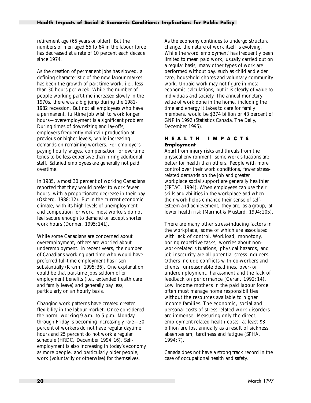<span id="page-27-0"></span>retirement age (65 years or older). But the numbers of men aged 55 to 64 in the labour force has decreased at a rate of 10 percent each decade since 1974.

As the creation of permanent jobs has slowed, a defining characteristic of the new labour market has been the growth of part-time work, i.e., less than 30 hours per week. While the number of people working part-time increased slowly in the 1970s, there was a big jump during the 1981- 1982 recession. But not all employees who have a permanent, full-time job wish to work longer hours—overemployment is a significant problem. During times of downsizing and lay-offs, employers frequently maintain production at previous or higher levels, while increasing demands on remaining workers. For employers paying hourly wages, compensation for overtime tends to be less expensive than hiring additional staff. Salaried employees are generally not paid overtime.

In 1985, almost 30 percent of working Canadians reported that they would prefer to work fewer hours, with a proportionate decrease in their pay (Osberg, 1988: 12). But in the current economic climate, with its high levels of unemployment and competition for work, most workers do not feel secure enough to demand or accept shorter work hours (Donner, 1995: 141).

While some Canadians are concerned about overemployment, others are worried about underemployment. In recent years, the number of Canadians working part-time who would have preferred full-time employment has risen substantially (Krahn, 1995: 36). One explanation could be that part-time jobs seldom offer employment benefits (i.e., extended health care and family leave) and generally pay less, particularly on an hourly basis.

Changing work patterns have created greater flexibility in the labour market. Once considered the norm, working 9 a.m. to 5 p.m. Monday through Friday is becoming increasingly rare—30 percent of workers do not have regular daytime hours and 25 percent do not work a regular schedule (HRDC, December 1994: 16). Selfemployment is also increasing in today's economy as more people, and particularly older people, work (voluntarily or otherwise) for themselves.

As the economy continues to undergo structural change, the nature of work itself is evolving. While the word 'employment' has frequently been limited to mean paid work, usually carried out on a regular basis, many other types of work are performed without pay, such as child and elder care, household chores and voluntary community work. Unpaid work may not figure in most economic calculations, but it is clearly of value to individuals and society. The annual monetary value of work done in the home, including the time and energy it takes to care for family members, would be \$374 billion or 43 percent of GNP in 1992 (Statistics Canada, The Daily, December 1995).

#### **HEALTH IMPACTS Employment**

Apart from injury risks and threats from the physical environment, some work situations are better for health than others. People with more control over their work conditions, fewer stressrelated demands on the job and greater workplace social support are generally healthier (FPTAC, 1994). When employees can use their skills and abilities in the workplace and when their work helps enhance their sense of selfesteem and achievement, they are, as a group, at lower health risk (Marmot & Mustard, 1994: 205).

There are many other stress-inducing factors in the workplace, some of which are associated with lack of control. Workload, monotony, boring repetitive tasks, worries about nonwork-related situations, physical hazards, and job insecurity are all potential stress inducers. Others include conflicts with co-workers and clients, unreasonable deadlines, over- or underemployment, harassment and the lack of feedback on performance (Geran, 1992: 14). Low income mothers in the paid labour force often must manage home responsibilities without the resources available to higher income families. The economic, social and personal costs of stress-related work disorders are immense. Measuring only the direct, employment-related health costs, at least \$3 billion are lost annually as a result of sickness, absenteeism, tardiness and fatigue (SPHA, 1994: 7).

Canada does not have a strong track record in the case of occupational health and safety.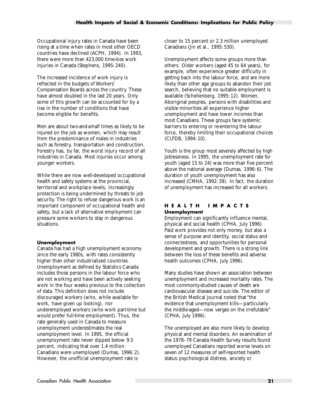<span id="page-28-0"></span>Occupational injury rates in Canada have been rising at a time when rates in most other OECD countries have declined (ACPH, 1994). In 1993, there were more than 423,000 time-loss work injuries in Canada (Stephens, 1995: 240).

The increased incidence of work injury is reflected in the budgets of Workers' Compensation Boards across the country. These have almost doubled in the last 20 years. Only some of this growth can be accounted for by a rise in the number of conditions that have become eligible for benefits.

Men are about two-and-a-half times as likely to be injured on the job as women, which may result from the predominance of males in industries such as forestry, transportation and construction. Forestry has, by far, the worst injury record of all industries in Canada. Most injuries occur among younger workers.

While there are now well-developed occupational health and safety systems at the provincial, territorial and workplace levels, increasingly protection is being undermined by threats to job security. The right to refuse dangerous work is an important component of occupational health and safety, but a lack of alternative employment can pressure some workers to stay in dangerous situations.

#### **Unemployment**

Canada has had a high unemployment economy since the early 1980s, with rates consistently higher than other industrialized countries. Unemployment as defined by Statistics Canada includes those persons in the labour force who are not working and have been actively seeking work in the four weeks previous to the collection of data. This definition does not include discouraged workers (who, while available for work, have given up looking), nor underemployed workers (who work part-time but would prefer full-time employment). Thus, the rate generally used in Canada to measure unemployment underestimates the real unemployment level. In 1995, the official unemployment rate never dipped below 9.5 percent, indicating that over 1.4 million Canadians were unemployed (Dumas, 1996: 2). However, the unofficial unemployment rate is

closer to 15 percent or 2.3 million unemployed Canadians (Jin et al., 1995: 530).

Unemployment affects some groups more than others. Older workers (aged 45 to 64 years), for example, often experience greater difficulty in getting back into the labour force, and are more likely than other age groups to abandon their job search, believing that no suitable employment is available (Schellenberg, 1995: 12). Women, Aboriginal peoples, persons with disabilities and visible minorities all experience higher unemployment and have lower incomes than most Canadians. These groups face systemic barriers to entering or re-entering the labour force, thereby limiting their occupational choices (CLFDB, 1994: 10).

Youth is the group most severely affected by high joblessness. In 1995, the unemployment rate for youth (aged 15 to 24) was more than five percent above the national average (Dumas, 1996: 6). The duration of youth unemployment has also increased (CMHA, 1992: 39). In fact, the duration of unemployment has increased for all workers.

#### **HEALTH IMPACTS Unemployment**

Employment can significantly influence mental, physical and social health (CPHA, July 1996). Paid work provides not only money, but also a sense of purpose and identity, social status and connectedness, and opportunities for personal development and growth. There is a strong link between the loss of these benefits and adverse health outcomes (CPHA, July 1996).

Many studies have shown an association between unemployment and increased mortality rates. The most commonly-studied causes of death are cardiovascular disease and suicide. The editor of the British Medical Journal noted that "the evidence that unemployment kills—particularly the middle-aged—now verges on the irrefutable" (CPHA, July 1996).

The unemployed are also more likely to develop physical and mental disorders. An examination of the 1978–79 Canada Health Survey results found unemployed Canadians reported worse levels on seven of 12 measures of self-reported health status: psychological distress, anxiety or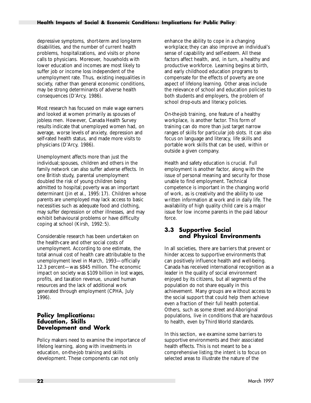<span id="page-29-0"></span>depressive symptoms, short-term and long-term disabilities, and the number of current health problems, hospitalizations, and visits or phone calls to physicians. Moreover, households with lower education and incomes are most likely to suffer job or income loss independent of the unemployment rate. Thus, existing inequalities in society, rather than general economic conditions, may be strong determinants of adverse health consequences (D'Arcy, 1986).

Most research has focused on male wage earners and looked at women primarily as spouses of jobless men. However, Canada Health Survey results indicate that unemployed women had, on average, worse levels of anxiety, depression and self-rated health status, and made more visits to physicians (D'Arcy, 1986).

Unemployment affects more than just the individual; spouses, children and others in the family network can also suffer adverse effects. In one British study, parental unemployment doubled the risk of young children being admitted to hospital; poverty was an important determinant (Jin et al., 1995: 17). Children whose parents are unemployed may lack access to basic necessities such as adequate food and clothing, may suffer depression or other illnesses, and may exhibit behavioural problems or have difficulty coping at school (Kirsh, 1992: 5).

Considerable research has been undertaken on the health-care and other social costs of unemployment. According to one estimate, the total annual cost of health care attributable to the unemployment level in March, 1993—officially 12.3 percent—was \$845 million. The economic impact on society was \$109 billion in lost wages, profits, and taxation revenue, unused human resources and the lack of additional work generated through employment (CPHA, July 1996).

#### **Policy Implications: Education, Skills Development and Work**

Policy makers need to examine the importance of lifelong learning, along with investments in education, on-the-job training and skills development. These components can not only

enhance the ability to cope in a changing workplace; they can also improve an individual's sense of capability and self-esteem. All these factors affect health, and, in turn, a healthy and productive workforce. Learning begins at birth, and early childhood education programs to compensate for the effects of poverty are one aspect of lifelong learning. Other areas include the relevance of school and education policies to both students and employers, the problem of school drop-outs and literacy policies.

On-the-job training, one feature of a healthy workplace, is another factor. This form of training can do more than just target narrow ranges of skills for particular job slots. It can also focus on language and literacy, life skills and portable work skills that can be used, within or outside a given company.

Health and safety education is crucial. Full employment is another factor, along with the issue of personal meaning and security for those unable to find employment. Technical competence is important in the changing world of work, as is creativity and the ability to use written information at work and in daily life. The availability of high quality child care is a major issue for low income parents in the paid labour force.

#### **3.3 Supportive Social and Physical Environments**

In all societies, there are barriers that prevent or hinder access to supportive environments that can positively influence health and well-being. Canada has received international recognition as a leader in the quality of social environment enjoyed by its citizens, but all segments of the population do not share equally in this achievement. Many groups are without access to the social support that could help them achieve even a fraction of their full health potential. Others, such as some street and Aboriginal populations, live in conditions that are hazardous to health, even by Third World standards.

In this section, we examine some barriers to supportive environments and their associated health effects. This is not meant to be a comprehensive listing; the intent is to focus on selected areas to illustrate the nature of the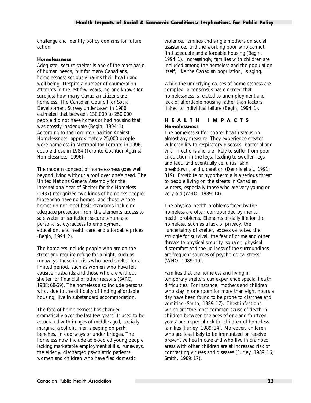<span id="page-30-0"></span>challenge and identify policy domains for future action.

#### **Homelessness**

Adequate, secure shelter is one of the most basic of human needs, but for many Canadians, homelessness seriously harms their health and well-being. Despite a number of enumeration attempts in the last few years, no one knows for sure just how many Canadian citizens are homeless. The Canadian Council for Social Development Survey undertaken in 1986 estimated that between 130,000 to 250,000 people did not have homes or had housing that was grossly inadequate (Begin, 1994: 1). According to the Toronto Coalition Against Homelessness, approximately 25,000 people were homeless in Metropolitan Toronto in 1996, double those in 1984 (Toronto Coalition Against Homelessness, 1996).

The modern concept of homelessness goes well beyond living without a roof over one's head. The United Nations General Assembly for the International Year of Shelter for the Homeless (1987) recognized two kinds of homeless people: those who have no homes, and those whose homes do not meet basic standards including adequate protection from the elements; access to safe water or sanitation; secure tenure and personal safety; access to employment, education, and health care; and affordable prices (Begin, 1994: 2).

The homeless include people who are on the street and require refuge for a night, such as runaways; those in crisis who need shelter for a limited period, such as women who have left abusive husbands; and those who are without shelter for financial or other reasons (SARC, 1988: 68-69). The homeless also include persons who, due to the difficulty of finding affordable housing, live in substandard accommodation.

The face of homelessness has changed dramatically over the last few years. It used to be associated with images of middle-aged, socially marginal alcoholic men sleeping on park benches, in doorways or under bridges. The homeless now include able-bodied young people lacking marketable employment skills, runaways, the elderly, discharged psychiatric patients, women and children who have fled domestic

violence, families and single mothers on social assistance, and the working poor who cannot find adequate and affordable housing (Begin, 1994: 1). Increasingly, families with children are included among the homeless and the population itself, like the Canadian population, is aging.

While the underlying causes of homelessness are complex, a consensus has emerged that homelessness is related to unemployment and lack of affordable housing rather than factors linked to individual failure (Begin, 1994: 1).

#### **HEALTH IMPACTS Homelessness**

The homeless suffer poorer health status on almost any measure. They experience greater vulnerability to respiratory diseases, bacterial and viral infections and are likely to suffer from poor circulation in the legs, leading to swollen legs and feet, and eventually cellulitis, skin breakdown, and ulceration (Dennis et al., 1991: 819). Frostbite or hypothermia is a serious threat to people living on the streets in Canadian winters, especially those who are very young or very old (WHO, 1989: 14).

The physical health problems faced by the homeless are often compounded by mental health problems. Elements of daily life for the homeless, such as a lack of privacy, the "uncertainty of shelter, excessive noise, the struggle for survival, the fear of crime and other threats to physical security, squalor, physical discomfort and the ugliness of the surroundings are frequent sources of psychological stress." (WHO, 1989: 10).

Families that are homeless and living in temporary shelters can experience special health difficulties. For instance, mothers and children who stay in one room for more than eight hours a day have been found to be prone to diarrhea and vomiting (Smith, 1989: 17). Chest infections, which are "the most common cause of death in children between the ages of one and fourteen years" are a special risk for children of homeless families (Furley, 1989: 14). Moreover, children who are less likely to be immunized or receive preventive health care and who live in cramped areas with other children are at increased risk of contracting viruses and diseases (Furley, 1989: 16; Smith, 1989: 17).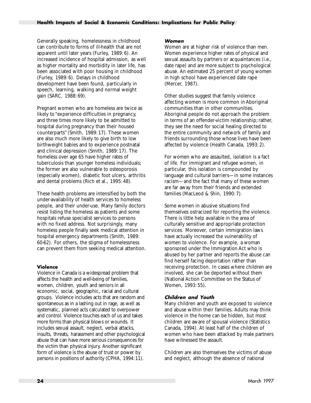<span id="page-31-0"></span>Generally speaking, homelessness in childhood can contribute to forms of ill-health that are not apparent until later years (Furley, 1989: 6). An increased incidence of hospital admission, as well as higher mortality and morbidity in later life, has been associated with poor housing in childhood (Furley, 1989: 6). Delays in childhood development have been found, particularly in speech, learning, walking and normal weight gain (SARC, 1988: 69).

Pregnant women who are homeless are twice as likely to "experience difficulties in pregnancy, and three times more likely to be admitted to hospital during pregnancy than their housed counterparts" (Smith, 1989: 17). These women are also much more likely to give birth to low birthweight babies and to experience postnatal and clinical depression (Smith, 1989: 17). The homeless over age 65 have higher rates of tuberculosis than younger homeless individuals; the former are also vulnerable to osteoporosis (especially women), diabetic foot ulcers, arthritis and dental problems (Rich et al., 1995: 48).

These health problems are intensified by both the under-availability of health services to homeless people, and their under-use. Many family doctors resist listing the homeless as patients and some hospitals refuse specialist services to persons with no fixed address. Not surprisingly, many homeless people finally seek medical attention in hospital emergency departments (Smith, 1989: 60-62). For others, the stigma of homelessness can prevent them from seeking medical attention.

#### **Violence**

Violence in Canada is a widespread problem that affects the health and well-being of families, women, children, youth and seniors in all economic, social, geographic, racial and cultural groups. Violence includes acts that are random and spontaneous as in a lashing out in rage, as well as systematic, planned acts calculated to overpower and control. Violence touches each of us and takes more forms than physical blows or wounds. It includes sexual assault, neglect, verbal attacks, insults, threats, harassment and other psychological abuse that can have more serious consequences for the victim than physical injury. Another significant form of violence is the abuse of trust or power by persons in positions of authority (CPHA, 1994:11).

#### **Women**

Women are at higher risk of violence than men. Women experience higher rates of physical and sexual assaults by partners or acquaintances (i.e., date rape) and are more subject to psychological abuse. An estimated 25 percent of young women in high school have experienced date rape (Mercer, 1987).

Other studies suggest that family violence affecting women is more common in Aboriginal communities than in other communities. Aboriginal people do not approach the problem in terms of an offender-victim relationship; rather, they see the need for social healing directed to the entire community and network of family and friends surrounding those whose lives have been affected by violence (Health Canada, 1993: 2).

For women who are assaulted, isolation is a fact of life. For immigrant and refugee women, in particular, this isolation is compounded by language and cultural barriers—in some instances racism—and the fact that many of these women are far away from their friends and extended families (MacLeod & Shin, 1990: 7).

Some women in abusive situations find themselves ostracized for reporting the violence. There is little help available in the area of culturally sensitive and appropriate protection services. Moreover, certain immigration laws have actually increased the vulnerability of women to violence. For example, a woman sponsored under the Immigration Act who is abused by her partner and reports the abuse can find herself facing deportation rather than receiving protection. In cases where children are involved, she can be deported without them (National Action Committee on the Status of Women, 1993: 55).

#### **Children and Youth**

Many children and youth are exposed to violence and abuse within their families. Adults may think violence in the home can be hidden, but most children are aware of spousal violence (Statistics Canada, 1994). At least half of the children of women who have been attacked by male partners have witnessed the assault.

Children are also themselves the victims of abuse and neglect, although the absence of national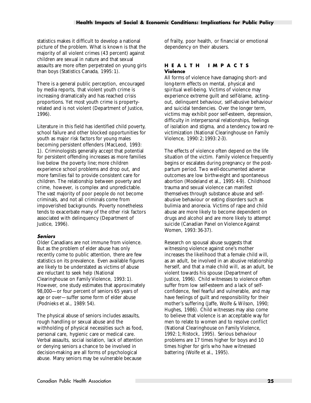<span id="page-32-0"></span>statistics makes it difficult to develop a national picture of the problem. What is known is that the majority of all violent crimes (43 percent) against children are sexual in nature and that sexual assaults are more often perpetrated on young girls than boys (Statistics Canada, 1995: 1).

There is a general public perception, encouraged by media reports, that violent youth crime is increasing dramatically and has reached crisis proportions. Yet most youth crime is propertyrelated and is not violent (Department of Justice, 1996).

Literature in this field has identified child poverty, school failure and other blocked opportunities for youth as major risk factors for young males becoming persistent offenders (MacLeod, 1993: 1). Criminologists generally accept that potential for persistent offending increases as more families live below the poverty line; more children experience school problems and drop out, and more families fail to provide consistent care for children. The relationship between poverty and crime, however, is complex and unpredictable. The vast majority of poor people do not become criminals, and not all criminals come from impoverished backgrounds. Poverty nonetheless tends to exacerbate many of the other risk factors associated with delinquency (Department of Justice, 1996).

#### **Seniors**

Older Canadians are not immune from violence. But as the problem of elder abuse has only recently come to public attention, there are few statistics on its prevalence. Even available figures are likely to be understated as victims of abuse are reluctant to seek help (National Clearinghouse on Family Violence, 1993: 1). However, one study estimates that approximately 98,000—or four percent of seniors 65 years of age or over—suffer some form of elder abuse (Podnieks et al., 1989: 54).

The physical abuse of seniors includes assaults, rough handling or sexual abuse and the withholding of physical necessities such as food, personal care, hygienic care or medical care. Verbal assaults, social isolation, lack of attention or denying seniors a chance to be involved in decision-making are all forms of psychological abuse. Many seniors may be vulnerable because

of frailty, poor health, or financial or emotional dependency on their abusers.

#### **HEALTH IMPACTS Violence**

All forms of violence have damaging short- and long-term effects on mental, physical and spiritual well-being. Victims of violence may experience extreme guilt and self-blame, actingout, delinquent behaviour, self-abusive behaviour and suicidal tendencies. Over the longer term, victims may exhibit poor self-esteem, depression, difficulty in interpersonal relationships, feelings of isolation and stigma, and a tendency toward revictimization (National Clearinghouse on Family Violence, 1990: 2; 1993: 2-3).

The effects of violence often depend on the life situation of the victim. Family violence frequently begins or escalates during pregnancy or the postpartum period. Two well-documented adverse outcomes are low birthweight and spontaneous abortion (Modeland et al., 1995: 4-9). Childhood trauma and sexual violence can manifest themselves through substance abuse and selfabusive behaviour or eating disorders such as bulimia and anorexia. Victims of rape and child abuse are more likely to become dependent on drugs and alcohol and are more likely to attempt suicide (Canadian Panel on Violence Against Women, 1993: 36-37).

Research on spousal abuse suggests that witnessing violence against one's mother increases the likelihood that a female child will, as an adult, be involved in an abusive relationship herself, and that a male child will, as an adult, be violent towards his spouse (Department of Justice, 1996). Child witnesses to violence often suffer from low self-esteem and a lack of selfconfidence, feel fearful and vulnerable, and may have feelings of guilt and responsibility for their mother's suffering (Jaffe, Wolfe & Wilson, 1990; Hughes, 1986). Child witnesses may also come to believe that violence is an acceptable way for men to relate to women and to resolve conflict (National Clearinghouse on Family Violence, 1992: 1; Ristock, 1995). Serious behaviour problems are 17 times higher for boys and 10 times higher for girls who have witnessed battering (Wolfe et al., 1995).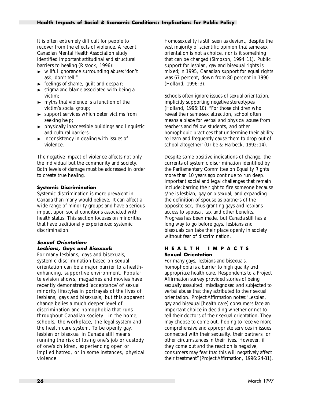<span id="page-33-0"></span>It is often extremely difficult for people to recover from the effects of violence. A recent Canadian Mental Health Association study identified important attitudinal and structural barriers to healing (Ristock, 1996):

- $\triangleright$  willful ignorance surrounding abuse: "don't ask, don't tell;"
- $\blacktriangleright$  feelings of shame, guilt and despair;
- $\blacktriangleright$  stigma and blame associated with being a victim;
- $\triangleright$  myths that violence is a function of the victim's social group;
- $\blacktriangleright$  support services which deter victims from seeking help;
- $\rightarrow$  physically inaccessible buildings and linguistic and cultural barriers;
- $\blacktriangleright$  inconsistency in dealing with issues of violence.

The negative impact of violence affects not only the individual but the community and society. Both levels of damage must be addressed in order to create true healing.

#### **Systemic Discrimination**

Systemic discrimination is more prevalent in Canada than many would believe. It can affect a wide range of minority groups and have a serious impact upon social conditions associated with health status. This section focuses on minorities that have traditionally experienced systemic discrimination.

#### **Sexual Orientation: Lesbians, Gays and Bisexuals**

For many lesbians, gays and bisexuals, systemic discrimination based on sexual orientation can be a major barrier to a healthenhancing, supportive environment. Popular television shows, magazines and movies have recently demonstrated 'acceptance' of sexual minority lifestyles in portrayals of the lives of lesbians, gays and bisexuals, but this apparent change belies a much deeper level of discrimination and homophobia that runs throughout Canadian society—in the home, schools, the workplace, the legal system and the health care system. To be openly gay, lesbian or bisexual in Canada still means running the risk of losing one's job or custody of one's children, experiencing open or implied hatred, or in some instances, physical violence.

Homosexuality is still seen as deviant, despite the vast majority of scientific opinion that same-sex orientation is not a choice, nor is it something that can be changed (Simpson, 1994: 11). Public support for lesbian, gay and bisexual rights is mixed; in 1995, Canadian support for equal rights was 67 percent, down from 80 percent in 1990 (Holland, 1996: 3).

Schools often ignore issues of sexual orientation, implicitly supporting negative stereotypes (Holland, 1996: 10). "For those children who reveal their same-sex attraction, school often means a place for verbal and physical abuse from teachers and fellow students, and other homophobic practices that undermine their ability to learn and frequently cause them to drop out of school altogether" (Uribe & Harbeck, 1992: 14).

Despite some positive indications of change, the currents of systemic discrimination identified by the Parliamentary Committee on Equality Rights more than 10 years ago continue to run deep. Important social and legal challenges that remain include: barring the right to fire someone because s/he is lesbian, gay or bisexual, and expanding the definition of spouse as partners of the opposite sex, thus granting gays and lesbians access to spousal, tax and other benefits. Progress has been made, but Canada still has a long way to go before gays, lesbians and bisexuals can take their place openly in society without fear of discrimination.

#### **HEALTH IMPACTS Sexual Orientation**

For many gays, lesbians and bisexuals, homophobia is a barrier to high quality and appropriate health care. Respondents to a Project Affirmation survey provided stories of being sexually assaulted, misdiagnosed and subjected to verbal abuse that they attributed to their sexual orientation. Project Affirmation notes:"Lesbian, gay and bisexual [health care] consumers face an important choice in deciding whether or not to tell their doctors of their sexual orientation. They may choose to come out, hoping to receive more comprehensive and appropriate services in issues connected with their sexuality, their partners, or other circumstances in their lives. However, if they come out and the reaction is negative, consumers may fear that this will negatively affect their treatment" (Project Affirmation, 1996: 24-31).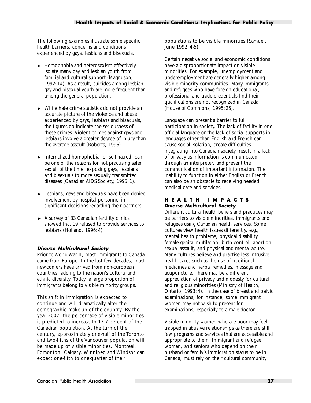<span id="page-34-0"></span>The following examples illustrate some specific health barriers, concerns and conditions experienced by gays, lesbians and bisexuals.

- $\blacktriangleright$  Homophobia and heterosexism effectively isolate many gay and lesbian youth from familial and cultural support (Magnuson, 1992: 14). As a result, suicides among lesbian, gay and bisexual youth are more frequent than among the general population.
- $\triangleright$  While hate crime statistics do not provide an accurate picture of the violence and abuse experienced by gays, lesbians and bisexuals, the figures do indicate the seriousness of these crimes. Violent crimes against gays and lesbians involve a greater degree of injury than the average assault (Roberts, 1996).
- $\blacktriangleright$  Internalized homophobia, or self-hatred, can be one of the reasons for not practising safer sex all of the time, exposing gays, lesbians and bisexuals to more sexually transmitted diseases (Canadian AIDS Society, 1995: 1).
- $\blacktriangleright$  Lesbians, gays and bisexuals have been denied involvement by hospital personnel in significant decisions regarding their partners.
- $\blacktriangleright$  A survey of 33 Canadian fertility clinics showed that 19 refused to provide services to lesbians (Holland, 1996: 4).

#### **Diverse Multicultural Society**

Prior to World War II, most immigrants to Canada came from Europe. In the last few decades, most newcomers have arrived from non-European countries, adding to the nation's cultural and ethnic diversity. Today, a large proportion of immigrants belong to visible minority groups.

This shift in immigration is expected to continue and will dramatically alter the demographic make-up of the country. By the year 2007, the percentage of visible minorities is predicted to increase to 17.7 percent of the Canadian population. At the turn of the century, approximately one-half of the Toronto and two-fifths of the Vancouver population will be made up of visible minorities. Montreal, Edmonton, Calgary, Winnipeg and Windsor can expect one-fifth to one-quarter of their

populations to be visible minorities (Samuel, June 1992: 4-5).

Certain negative social and economic conditions have a disproportionate impact on visible minorities. For example, unemployment and underemployment are generally higher among visible minority communities. Many immigrants and refugees who have foreign educational, professional and trade credentials find their qualifications are not recognized in Canada (House of Commons, 1995: 25).

Language can present a barrier to full participation in society. The lack of facility in one official language or the lack of social supports in languages other than English and French can cause social isolation, create difficulties integrating into Canadian society, result in a lack of privacy as information is communicated through an interpreter, and prevent the communication of important information. The inability to function in either English or French can also be an obstacle to receiving needed medical care and services.

#### **HEALTH IMPACTS Diverse Multicultural Society**

Different cultural health beliefs and practices may be barriers to visible minorities, immigrants and refugees using Canadian health services. Some cultures view health issues differently, e.g., mental health problems, physical disability, female genital mutilation, birth control, abortion, sexual assault, and physical and mental abuse. Many cultures believe and practise less intrusive health care, such as the use of traditional medicines and herbal remedies, massage and acupuncture. There may be a different appreciation of privacy and modesty for cultural and religious minorities (Ministry of Health, Ontario, 1993: 4). In the case of breast and pelvic examinations, for instance, some immigrant women may not wish to present for examinations, especially to a male doctor.

Visible minority women who are poor may feel trapped in abusive relationships as there are still few programs and services that are accessible and appropriate to them. Immigrant and refugee women, and seniors who depend on their husband or family's immigration status to be in Canada, must rely on their cultural community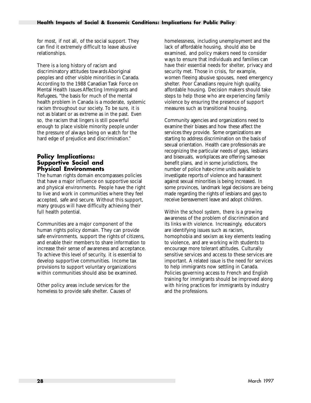<span id="page-35-0"></span>for most, if not all, of the social support. They can find it extremely difficult to leave abusive relationships.

There is a long history of racism and discriminatory attitudes towards Aboriginal peoples and other visible minorities in Canada. According to the 1988 Canadian Task Force on Mental Health Issues Affecting Immigrants and Refugees, "the basis for much of the mental health problem in Canada is a moderate, systemic racism throughout our society. To be sure, it is not as blatant or as extreme as in the past. Even so, the racism that lingers is still powerful enough to place visible minority people under the pressure of always being on watch for the hard edge of prejudice and discrimination."

#### **Policy Implications: Supportive Social and Physical Environments**

The human rights domain encompasses policies that have a major influence on supportive social and physical environments. People have the right to live and work in communities where they feel accepted, safe and secure. Without this support, many groups will have difficulty achieving their full health potential.

Communities are a major component of the human rights policy domain. They can provide safe environments, support the rights of citizens, and enable their members to share information to increase their sense of awareness and acceptance. To achieve this level of security, it is essential to develop supportive communities. Income tax provisions to support voluntary organizations within communities should also be examined.

Other policy areas include services for the homeless to provide safe shelter. Causes of homelessness, including unemployment and the lack of affordable housing, should also be examined, and policy makers need to consider ways to ensure that individuals and families can have their essential needs for shelter, privacy and security met. Those in crisis, for example, women fleeing abusive spouses, need emergency shelter. Poor Canadians require high quality, affordable housing. Decision makers should take steps to help those who are experiencing family violence by ensuring the presence of support measures such as transitional housing.

Community agencies and organizations need to examine their biases and how these affect the services they provide. Some organizations are starting to address discrimination on the basis of sexual orientation. Health care professionals are recognizing the particular needs of gays, lesbians and bisexuals, workplaces are offering same-sex benefit plans, and in some jurisdictions, the number of police hate-crime units available to investigate reports of violence and harassment against sexual minorities is being increased. In some provinces, landmark legal decisions are being made regarding the rights of lesbians and gays to receive bereavement leave and adopt children.

Within the school system, there is a growing awareness of the problem of discrimination and its links with violence. Increasingly, educators are identifying issues such as racism, homophobia and sexism as key elements leading to violence, and are working with students to encourage more tolerant attitudes. Culturally sensitive services and access to these services are important. A related issue is the need for services to help immigrants now settling in Canada. Policies governing access to French and English training for immigrants should be improved along with hiring practices for immigrants by industry and the professions.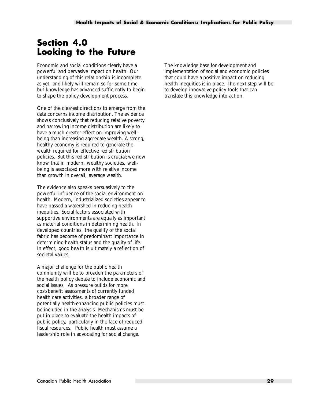# <span id="page-36-0"></span>**Section 4.0 Looking to the Future**

Economic and social conditions clearly have a powerful and pervasive impact on health. Our understanding of this relationship is incomplete as yet, and likely will remain so for some time, but knowledge has advanced sufficiently to begin to shape the policy development process.

One of the clearest directions to emerge from the data concerns income distribution. The evidence shows conclusively that reducing relative poverty and narrowing income distribution are likely to have a much greater effect on improving wellbeing than increasing aggregate wealth. A strong, healthy economy is required to generate the wealth required for effective redistribution policies. But this redistribution is crucial; we now know that in modern, wealthy societies, wellbeing is associated more with relative income than growth in overall, average wealth.

The evidence also speaks persuasively to the powerful influence of the social environment on health. Modern, industrialized societies appear to have passed a watershed in reducing health inequities. Social factors associated with supportive environments are equally as important as material conditions in determining health. In developed countries, the quality of the social fabric has become of predominant importance in determining health status and the quality of life. In effect, good health is ultimately a reflection of societal values.

A major challenge for the public health community will be to broaden the parameters of the health policy debate to include economic and social issues. As pressure builds for more cost/benefit assessments of currently funded health care activities, a broader range of potentially health-enhancing public policies must be included in the analysis. Mechanisms must be put in place to evaluate the health impacts of public policy, particularly in the face of reduced fiscal resources. Public health must assume a leadership role in advocating for social change.

The knowledge base for development and implementation of social and economic policies that could have a positive impact on reducing health inequities is in place. The next step will be to develop innovative policy tools that can translate this knowledge into action.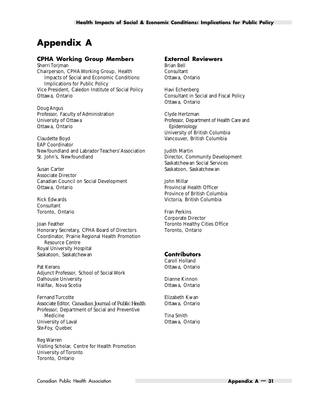# <span id="page-37-0"></span>**Appendix A**

#### **CPHA Working Group Members**

Sherri Torjman Chairperson, CPHA Working Group, Health Impacts of Social and Economic Conditions: Implications for Public Policy Vice President, Caledon Institute of Social Policy Ottawa, Ontario

Doug Angus Professor, Faculty of Administration University of Ottawa Ottawa, Ontario

Claudette Boyd EAP Coordinator Newfoundland and Labrador Teachers'Association St. John's, Newfoundland

Susan Carter Associate Director Canadian Council on Social Development Ottawa, Ontario

Rick Edwards Consultant Toronto, Ontario

Joan Feather Honorary Secretary, CPHA Board of Directors Coordinator, Prairie Regional Health Promotion Resource Centre Royal University Hospital Saskatoon, Saskatchewan

Pat Kerans Adjunct Professor, School of Social Work Dalhousie University Halifax, Nova Scotia

Fernand Turcotte Associate Editor, *Canadian Journal of Public Health* Professor, Department of Social and Preventive Medicine University of Laval Ste-Foy, Quebec

Reg Warren Visiting Scholar, Centre for Health Promotion University of Toronto Toronto, Ontario

#### **External Reviewers** Brian Bell

Consultant Ottawa, Ontario

Havi Echenberg Consultant in Social and Fiscal Policy Ottawa, Ontario

Clyde Hertzman Professor, Department of Health Care and Epidemiology University of British Columbia Vancouver, British Columbia

Judith Martin Director, Community Development Saskatchewan Social Services Saskatoon, Saskatchewan

John Millar Provincial Health Officer Province of British Columbia Victoria, British Columbia

Fran Perkins Corporate Director Toronto Healthy Cities Office Toronto, Ontario

#### **Contributors**

Caroll Holland Ottawa, Ontario

Dianne Kinnon Ottawa, Ontario

Elizabeth Kwan Ottawa, Ontario

Tina Smith Ottawa, Ontario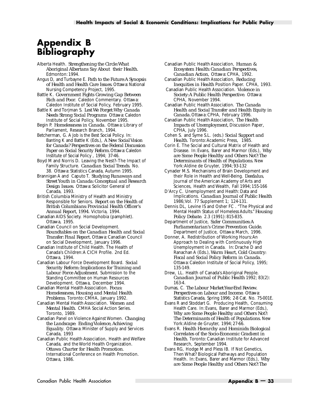# <span id="page-38-0"></span>**Appendix B Bibliography**

Alberta Health. *Strengthening the Circle:What Aboriginal Albertans Say About their Health.* Edmonton: 1994.

Angus D, and Turbayne E. *Path to the Future:A Synopsis of Health and Health Care Issues.* Ottawa: National Nursing Competency Project, 1995.

Battle K. *Government Fights Growing Gap Between Rich and Poor*. Caledon Commentary. Ottawa: Caledon Institute of Social Policy, February 1995.

Battle K and Torjman S. *Lest We Forget:Why Canada Needs Strong Social Programs* Ottawa: Caledon Institute of Social Policy, November 1995.

Begin P. *Homelessness in Canada*. Ottawa: Library of Parliament, Research Branch, 1994.

Betcherman, G. A Job is the Best Social Policy. In: Banting K and Battle K (Eds.), *A New Social Vision for Canada? Perspectives on the Federal Discussion Paper on Social Security Reform.*Ottawa: Caledon Institute of Social Policy , 1994; 37-46.

Boyd M and Norris D. Leaving the Nest?–The Impact of Family Structure. *Canadian Social Trends*. No. 38. Ottawa: Statistics Canada, Autumn 1995.

Brannigan A and Caputo T. *Studying Runaways and Street Youth in Canada: Conceptual and Research Design Issues*. Ottawa: Solicitor General of Canada, 1993.

British Columbia Ministry of Health and Ministry Responsible for Seniors. *Report on the Health of British Columbians: Provincial Health Officer's Annual Report, 1994*. Victoria, 1994.

Canadian AIDS Society. Homophobia (pamphlet). Ottawa, 1995.

Canadian Council on Social Development. *Roundtables on the Canadian Health and Social Transfer: Final Report.* Ottawa: Canadian Council on Social Development, January 1996.

Canadian Institute of Child Health. The Health of Canada's Children:A CICH Profile. 2nd Ed. Ottawa, 1994.

Canadian Labour Force Development Board. *Social Security Reform: Implications for Training and Labour Force Adjustment*. Submission to the Standing Committee on Human Resources Development. Ottawa, December 1994.

Canadian Mental Health Association. *Focus: Homelessness, Housing and Mental Health Problems*. Toronto: CMHA, January 1992.

Canadian Mental Health Association. *Women and Mental Health*. CMHA Social Action Series. Toronto, 1989.

Canadian Panel on Violence Against Women. *Changing the Landscape: Ending Violence, Achieving Equality*. Ottawa: Minister of Supply and Services Canada, 1993

Canadian Public Health Association, Health and Welfare Canada, and the World Health Organization. *Ottawa Charter for Health Promotion*. International Conference on Health Promotion. Ottawa, 1986.

Canadian Public Health Association, *Human & Ecosystem Health: Canadian Perspectives, Canadian Action*, Ottawa: CPHA, 1992. Canadian Public Health Association, *Reducing*

*Inequities in Health* Position Paper. CPHA, 1993.

Canadian Public Health Association. *Violence in Society:A Public Health Perspective*. Ottawa: CPHA, November 1994.

Canadian Public Health Association. *The Canada Health and Social Transfer and Health Equity in Canada.* Ottawa: CPHA, February 1996.

Canadian Public Health Association, *The Health Impacts of Unemployment,* Discussion Paper*,* CPHA, July 1996.

Cohen S. and Syme S.L. (eds.) *Social Support and Health*. Toronto:Academic Press, 1985.

Corin E. The Social and Cultural Matrix of Health and Disease. In: Evans, Barer and Marmor (Eds.), *Why are Some People Healthy and Others Not?:The Determinants of Health of Populations.* New York:Aldine de Gruyter, 1994; 93-132

Cynader M.S. Mechanisms of Brain Development and their Role in Health and Well-Being. *Dædalus*, Journal of the American Academy of Arts and Sciences, Health and Wealth, Fall 1994; 155-166

D'Arcy C. Unemployment and Health: Data and Implications. *Canadian Journal of Public Health* 1986;Vol. 77 Supplement 1; 124-131.

Dennis DL, Levine IS and Osher FC . "The Physical and Mental Health Status of Homeless Adults." *Housing Policy Debate*. 2.3 (1991): 815-835.

Department of Justice, *Safer Communities:A Parliamentarian's Crime Prevention Guide.* Department of Justice, Ottawa: March, 1996.

Donner, A. Redistribution of Working Hours:An Approach to Dealing with Continuously High Unemployment in Canada. In: Drache D and Ranachan A (Eds.), *Warm Heart, Cold Country: Fiscal and Social Policy Reform in Canada.* Ottawa: Caledon Institute of Social Policy, 1995; 135-149.

Drew, LL. Health of Canada's Aboriginal People. *Canadian Journal of Public Health* 1992; 83(2): 163-4.

Dumas, C. *The Labour Market:Year-End Review. Perspectives on Labour and Income*. Ottawa: Statistics Canada, Spring 1996; 2-8 Cat. No. 75-001E.

Evans R and Stoddart G. Producing Health, Consuming Health Care. In: Evans, Barer and Marmor (Eds.), *Why are Some People Healthy and Others Not?: The Determinants of Health of Populations.* New York:Aldine de Gruyter, 1994; 27-66.

Evans R. *Health Hierarchy and Hominids: Biological Correlates of the Socio-Economic Gradient in Health*. Toronto: Canadian Institute for Advanced Research, September 1994.

Evans RG, Hodge M and Pless IB. If Not Genetics, Then What? Biological Pathways and Population Health. In: Evans, Barer and Marmor (Eds.), *Why are Some People Healthy and Others Not?:The*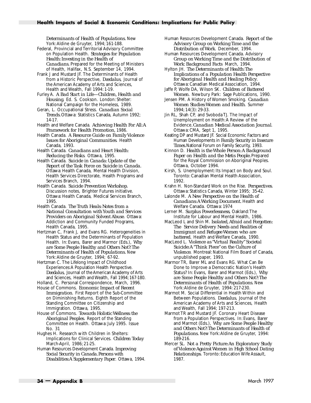*Determinants of Health of Populations.* New York:Aldine de Gruyter, 1994; 161-188.

- Federal, Provincial and Territorial Advisory Committee on Population Health. *Strategies for Population Health: Investing in the Health of Canadians.* Prepared for the Meeting of Ministers of Health, Halifax, N.S. September 14, 1994.
- Frank J and Mustard JF. The Determinants of Health from a Historic Perspective, *Dædalus*, Journal of the American Academy of Arts and Sciences, Health and Wealth, Fall 1994: 1-19.
- Furley A. *A Bad Start in Life—Children, Health and Housing*. Ed. S. Cookson. London: Shelter: National Campaign for the Homeless, 1989.
- Geran, L. Occupational Stress. *Canadian Social Trends.* Ottawa: Statistics Canada, Autumn 1992; 14-17.
- Health and Welfare Canada. *Achieving Health For All:A Framework for Health Promotion,* 1986.
- Health Canada. *A Resource Guide on Family Violence Issues for Aboriginal Communities*. Health Canada, 1993.
- Health Canada. *Canadians and Heart Health: Reducing the Risks*. Ottawa, 1995.
- Health Canada. *Suicide in Canada: Update of the Report of the Task Force on Suicide in Canada.* Ottawa: Health Canada, Mental Health Division, Health Services Directorate, Health Programs and Services Branch, 1994.
- Health Canada. *Suicide Prevention Workshop.* Discussion notes, Brighter Futures initiative. Ottawa: Health Canada, Medical Services Branch, 1995.
- Health Canada. *The Truth Heals: Notes from a National Consultation with Youth and Services Providers on Aboriginal Solvent Abuse*. Ottawa: Addiction and Community Funded Programs, Health Canada, 1995.
- Hertzman C, Frank J, and Evans RG. Heterogeneities in Health Status and the Determinants of Population Health. In: Evans, Barer and Marmor (Eds.), *Why are Some People Healthy and Others Not?:The Determinants of Health of Populations.* New York:Aldine de Gruyter, 1994; 67-92.
- Hertzman C. The Lifelong Impact of Childhood Experiences:A Population Health Perspective. *Dædalus*, Journal of the American Academy of Arts and Sciences, Health and Wealth, Fall 1994; 167-180.
- Holland, C. Personal Correspondence, March, 1996. House of Commons. *Economic Impact of Recent Immigration*. First Report of the Sub-Committee on Diminishing Returns. Eighth Report of the Standing Committee on Citizenship and Immigration. Ottawa, 1995.
- House of Commons. *Towards Holistic Wellness: the Aboriginal Peoples*. Report of the Standing Committee on Health. Ottawa: July 1995. Issue No. 31
- Hughes H. Research with Children in Shelters: Implications for Clinical Services. *Children Today* March-April, 1986; 21-25.
- Human Resources Development Canada. *Improving Social Security in Canada.Persons with Disabilities:A Supplementary Paper*. Ottawa, 1994.
- Human Resources Development Canada. *Report of the Advisory Group on Working Time and the Distribution of Work*. December, 1994.
- Human Resources Development Canada. Advisory *Group on Working Time and the Distribution of Work*: *Background Facts* March, 1994.
- Hylton JH. *The Determinants of Health:The Implications of a Population Health Perspective for Aboriginal Health and Healing Policy*. Ottawa: Canadian Medical Association, 1994.
- Jaffe P, Wolfe DA, Wilson SK. *Children of Battered Women*. Newbury Park: Sage Publications, 1990.
- Jensen PM. A History of Women Smoking. *Canadian Women Studies:Women and Health*. Summer 1994; 14(3): 29-33.
- Jin RL, Shah CP, and Svoboda TJ. The Impact of Unemployment on Health:A Review of the Evidence*. Canadian Medical Association Journal*. Ottawa: CMA, Sept 1, 1995.
- Keating DP and Mustard JF. Social Economic Factors and Human Developments in *Family Security in Insecure Times.*National Forum on Family Security, 1993.
- Kinnon D. *Health is the Whole Person:A Background Paper on Health and the Metis People.* Prepared for the Royal Commission on Aboriginal Peoples. Ottawa, October 1994.
- Kirsh, S. Unemployment: Its Impact on Body and Soul. Toronto: Canadian Mental Health Association, 1992.
- Krahn H. Non-Standard Work on the Rise. *Perspectives*. Ottawa: Statistics Canada, Winter 1995; 35-42.
- Lalonde M. *A New Perspective on the Health of Canadians:A Working Document.* Health and Welfare Canada. Ottawa: 1974
- Lerner M. *Surplus Powerlessness*, Oakland:The Institute for Labour and Mental Health, 1986.
- MacLeod L and Shin M. *Isolated, Afraid and Forgotten: The Service Delivery Needs and Realities of Immigrant and Refugee Women who are battered.* Health and Welfare Canada, 1990.
- MacLeod L. *Violence as "Virtual Reality" Societal Suicide:A "Think Piece" on the Culture of Violence*. Montreal: National Film Board of Canada, unpublished paper, 1993.
- Marmor TR, Barer ML and Evans RG. What Can Be Done to Improve a Democratic Nation's Health Status? In: Evans, Barer and Marmot (Eds.), *Why are Some People Healthy and Others Not?:The Determinants of Health of Populations.* New York:Aldine de Gruyter, 1994: 217-230.
- Marmot M. Social Differential in Health Within and Between Populations. *Dædalus*, Journal of the American Academy of Arts and Sciences, Health and Wealth, Fall 1994; 197-213.
- Marmot TR and Mustard JF. Coronary Heart Disease from a Population Perspectives. In: Evans, Barer and Marmot (Eds.), *Why are Some People Healthy and Others Not?:The Determinants of Health of Populations.* New York:Aldine de Gruyter, 1994: 189-216.
- Mercer SL. *Not a Pretty Picture:An Exploratory Study of Violence Against Women in High School Dating Relationships*. Toronto: Education Wife Assault, 1987.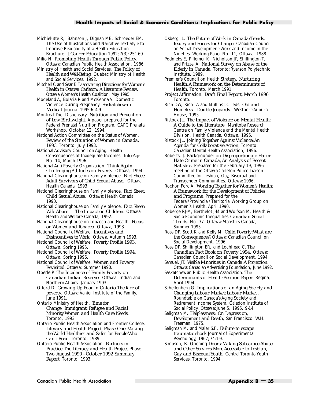#### **Health Impacts of Social & Economic Conditions: Implications for Public Policy**

Michielutte R, Bahnson J, Dignan MB, Schroeder EM. The Use of Illustrations and Narrative Text Style to Improve Readability of a Health Education Brochure. *J. Cancer Education* 1992; 7(3): 251-60.

Milio N. *Promoting Health Through Public Policy*.

Ottawa: Canadian Public Health Association, 1986. Ministry of Health and Social Services. *The Policy of Health and Well-Being*. Quebec Ministry of Health and Social Services. 1992.

Mitchell C and Sear F. *Discovering Directions for Women's Health in Ottawa Carleton: A Literature Review*. Ottawa:Women's Health Coalition, May 1995.

Modeland A, Bolaria R and McKenna A. Domestic Violence During Pregnancy. *Saskatchewan Medical Journal* 1995;6: 4-9

Montreal Diet Dispensary. *Nutrition and Prevention of Low Birthweight*. A paper prepared for the Federal Prenatal Nutrition Program, CAPC Prenatal Workshop, October 12, 1994.

National Action Committee on the Status of Women. *Review of the Situation of Women in Canada, 1993*. Toronto, July 1993.

National Advisory Council on Aging. Health Consequences of Inadequate Incomes. *Info-Age.* No. 14, March 1996.

National Anti-Poverty Organization. *Think Again: Challenging Attitudes on Poverty*. Ottawa, 1994.

National Clearinghouse on Family Violence. *Fact Sheet: Adult Survivors of Child Sexual Abuse*. Ottawa: Health Canada, 1993.

National Clearinghouse on Family Violence. *Fact Sheet: Child Sexual Abuse*. Ottawa: Health Canada, 1990.

National Clearinghouse on Family Violence. *Fact Sheet: Wife Abuse — The Impact on Children*. Ottawa: Health and Welfare Canada, 1992.

National Clearinghouse on Tobacco and Health. *Focus on Women and Tobacco*. Ottawa, 1993.

National Council of Welfare. *Incentives and Disincentives to Work.* Ottawa. Autumn 1993.

National Council of Welfare. *Poverty Profile 1993.* Ottawa, Spring 1995.

National Council of Welfare. *Poverty Profile 1994.* Ottawa, Spring 1996.

National Council of Welfare. *Women and Poverty Revisited.* Ottawa: Summer 1990.

Oberle P. *The Incidence of Family Poverty on Canadian Indian Reserves.* Ottawa: Indian and Northern Affairs, January 1993.

Offord D. *Growing Up Poor in Ontario.The face of* poverty. Ottawa: Vanier Institute of the Family, June 1991.

Ontario Ministry of Health. *Time for Change...Immigrant, Refugee and Racial Minority Women and Health Care Needs*. Toronto, 1993

Ontario Public Health Association and Frontier College. *Literacy and Health Project, Phase One: Making the World Healthier and Safer for People Who Can't Read*. Toronto, 1989.

Ontario Public Health Association. *Partners in Practice:The Literacy and Health Project Phase Two, August 1990 - October 1992 Summary Report*. Toronto, 1993.

Osberg, L. *The Future of Work in Canada:Trends, Issues, and Forces for Change*. Canadian Council on Social Development:Work and Income in the Nineties. Working Paper No. 11, Ottawa. 1988

Podnieks E, Pillemer K, Nicholson JP, Shillington T, and Frizzel A. *National Survey on Abuse of the Elderly in Canada*. Toronto: Ryerson Polytechnic Institute, 1989.

Premier's Council on Health Strategy. *Nurturing Health:A Framework on the Determinants of Health*. Toronto, March 1991.

Project Affirmation. *Draft Final Report, March 1996*. Toronto.

Rich DW, Rich TA and Mullins LC, eds. *Old and Homeless—Double-Jeopardy*. Westport:Auburn House, 1995.

Ristock JL. *The Impact of Violence on Mental Health: A Guide to the Literature.* Manitoba Research Centre on Family Violence and the Mental Health Division, Health Canada, Ottawa, 1995.

Ristock JL. Joining *Together Against Violence:An Agenda for Collaborative Action*, Toronto: Canadian Mental Health Association, 1996.

Roberts, J. Backgrounder *on Disproportionate Harm: Hate Crime in Canada, An Analysis of Recent Statistics*. Prepared for the February 19, 1996 meeting of the Ottawa-Carleton Police Liaison Committee for Lesbian, Gay, Bisexual and Transgender Communities. Ottawa: 1996.

Rochon Ford A. *Working Together for Women's Health: A Framework for the Development of Policies and Programs*. Prepared for the Federal/Provincial/ Territorial Working Group on Women's Health, April 1990.

Roberge RJ-M, Berthelot J-M and Wolfson M. Health & Socio-Economic Inequalities*. Canadian Social Trends*. No. 37. Ottawa: Statistics Canada, Summer 1995.

Ross DP, Scott K and Kelly M. *Child Poverty:What are the Consequences?* Ottawa: Canadian Council on Social Development, 1996.

Ross DP, Shillington ER, and Lochhead C. *The Canadian Fact Book on Poverty 1994*. Ottawa: Canadian Council on Social Development, 1994.

Samuel, JT. *Visible Minorities in Canada:A Projection.* Ottawa:Canadian Advertising Foundation, June 1992.

Saskatchewan Public Health Association. *The Determinants of Health: Position Paper*. Regina, April 1994.

Schellenberg G. *Implications of an Aging Society and Changing Labour Market: Labour Market* . Roundtable on Canada's Aging Society and Retirement Income System. Caledon Institute of Social Policy. Ottawa: June 5, 1995, 9-14.

Seligman M. *Helplessness: On Depression, Development and Death*, San Francisco: W.H. Freeman, 1975.

Seligman M. and Maier S.F., *Failure to escape traumatic shock* Journal of Experimental Psychology, 1967; 74:1-9.

Simpson, B. Opening *Doors: Making Substance Abuse and Other Services More Accessible to Lesbian, Gay and Bisexual Youth*. Central Toronto Youth Services, Toronto. 1994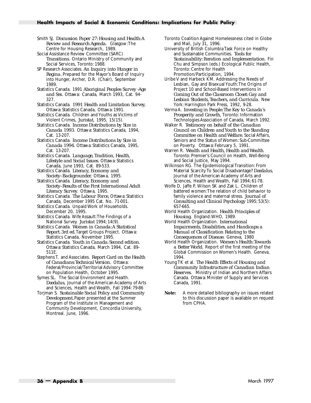Smith SJ. *Discussion Paper 27: Housing and Health:A Review and Research Agenda*. Glasgow:The Centre for Housing Research, 1989.

Social Assistance Review Committee (SARC) *Transitions*. Ontario Ministry of Community and Social Services, Toronto: 1988.

SP Research Associates. *An Inquiry into Hunger in Regina.* Prepared for the Mayor's Board of Inquiry into Hunger, Archer, D.R. (Chair), September 1989.

Statistics Canada. 1991 *Aboriginal Peoples Survey -Age and Sex*. Ottawa: Canada, March 1993, Cat. 94- 327.

Statistics Canada. *1991 Health and Limitation Survey,* Ottawa: Statistics Canada, Ottawa: 1991.

Statistics Canada. Children and Youths as Victims of Violent Crimes, *Juristat*, 1995, 15(15).

Statistics Canada. *Income Distributions by Size in Canada 1993*. Ottawa: Statistics Canada, 1994, Cat. 13-207.

Statistics Canada. *Income Distributions by Size in Canada 1994*. Ottawa: Statistics Canada, 1995, Cat. 13-207.

Statistics Canada. *Language, Tradition, Health, Lifestyle and Social Issues*. Ottawa: Statistics Canada, June 1993, Cat. 89-533.

Statistics Canada. *Literacy, Economy and Society–Backgrounder.* Ottawa, 1995.

Statistics Canada. *Literacy, Economy and Society–Results of the First International Adult Literacy Survey*. Ottawa, 1995.

Statistics Canada. *The Labour Force,* Ottawa: Statistics Canada, December 1995 Cat. No. 71-001.

Statistics Canada. Unpaid Work of Households. December 20, 1995.

Statistics Canada. Wife Assault:The Findings of a National Survey. *Juristat* 1994; 14(9).

Statistics Canada. *Women in Canada:A Statistical Report. 3rd ed.* Target Groups Project. Ottawa: Statistics Canada, November 1995.

Statistics Canada. *Youth in Canada: Second edition*. Ottawa: Statistics Canada, March 1994, Cat. 89- 511E.

Stephens T. and Associates. *Report Card on the Health of Canadians:Technical Version.* Ottawa: Federal/Provincial/Territorial Advisory Committee on Population Health, October 1995.

Symes SL. The Social Environment and Health. *Dædalus*, Journal of the American Academy of Arts and Sciences, Health and Wealth, Fall 1994: 79-86

Torjman S. *Sustainable Social Policy and Community Development.* Paper presented at the Summer Program of the Institute in Management and Community Development, Concordia University, Montreal. June, 1996.

University of British Columbia Task Force on Healthy and Sustainable Communities. *Tools for Sustainability: Iteration and Implementation*. Fin Chu and Simpson (eds.) Ecological Public Health, Toronto: Centre for Health Promotion/Participation, 1994.

Uribe V and Harbeck KM. Addressing the Needs of Lesbian, Gay and Bisexual Youth:The Origins of Project 10 and School-Based Interventions in *Coming Out of the Classroom Closet: Gay and Lesbian Students, Teachers, and Curricula*. New York: Harrington Park Press, 1992, 9-28.

Verma A. *Investing in People:The Key to Canada's Prosperity and Growth*, Toronto: Information Technologies Association of Canada, March 1992.

Walker R. *Testimony on behalf of the Canadian Council on Children and Youth to the Standing Committee on Health and Welfare.* Social Affairs, Seniors and the Status of Women: Sub-Committee on Poverty. Ottawa: February 5, 1991.

Warren R. *Wealth and Health, Health and Wealth*. Toronto: Premier's Council on Health, Well-Being and Social Justice, May 1994.

Wilkinson RG. The Epidemiological Transition: From Material Scarcity To Social Disadvantage? *Dædalus*, Journal of the American Academy of Arts and Sciences, Health and Wealth, Fall 1994; 61-78.

Wolfe D, Jaffe P, Wilson SK and Zak L. Children of battered women:The relation of child behavior to family violence and maternal stress. *Journal of Consulting and Clinical Psychology* 1995; 53(5): 657-665.

World Health Organization. *Health Principles of Housing.* England:WHO, 1989.

World Health Organization. *International Impairments, Disabilities, and Handicaps: a Manual of Classification Relating to the Consequences of Disease*. Geneva, 1980

World Health Organization. *Women's Health:Towards a Better World*. Report of the first meeting of the Global Commission on Women's Health. Geneva, 1994.

Young TK et al. *The Health Effects of Housing and Community Infrastructure of Canadian Indian Reserves.* Ministry of Indian and Northern Affairs Canada. Ottawa: Minister of Supply and Services Canada, 1991.

**Note:** A more detailed bibliography on issues related to this discussion paper is available on request from CPHA.